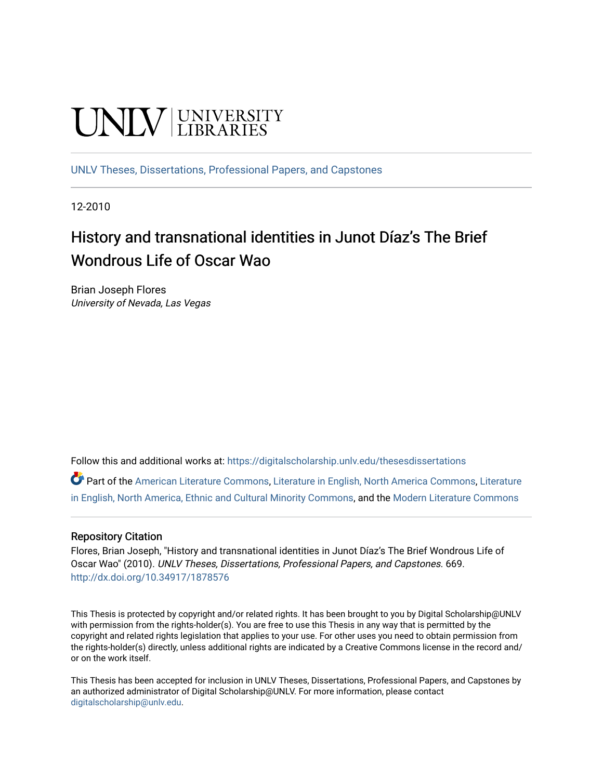# **UNIVERSITY**

[UNLV Theses, Dissertations, Professional Papers, and Capstones](https://digitalscholarship.unlv.edu/thesesdissertations)

12-2010

# History and transnational identities in Junot Díaz's The Brief Wondrous Life of Oscar Wao

Brian Joseph Flores University of Nevada, Las Vegas

Follow this and additional works at: [https://digitalscholarship.unlv.edu/thesesdissertations](https://digitalscholarship.unlv.edu/thesesdissertations?utm_source=digitalscholarship.unlv.edu%2Fthesesdissertations%2F669&utm_medium=PDF&utm_campaign=PDFCoverPages)

Part of the [American Literature Commons](http://network.bepress.com/hgg/discipline/441?utm_source=digitalscholarship.unlv.edu%2Fthesesdissertations%2F669&utm_medium=PDF&utm_campaign=PDFCoverPages), [Literature in English, North America Commons](http://network.bepress.com/hgg/discipline/458?utm_source=digitalscholarship.unlv.edu%2Fthesesdissertations%2F669&utm_medium=PDF&utm_campaign=PDFCoverPages), [Literature](http://network.bepress.com/hgg/discipline/459?utm_source=digitalscholarship.unlv.edu%2Fthesesdissertations%2F669&utm_medium=PDF&utm_campaign=PDFCoverPages)  [in English, North America, Ethnic and Cultural Minority Commons](http://network.bepress.com/hgg/discipline/459?utm_source=digitalscholarship.unlv.edu%2Fthesesdissertations%2F669&utm_medium=PDF&utm_campaign=PDFCoverPages), and the [Modern Literature Commons](http://network.bepress.com/hgg/discipline/1050?utm_source=digitalscholarship.unlv.edu%2Fthesesdissertations%2F669&utm_medium=PDF&utm_campaign=PDFCoverPages) 

#### Repository Citation

Flores, Brian Joseph, "History and transnational identities in Junot Díaz's The Brief Wondrous Life of Oscar Wao" (2010). UNLV Theses, Dissertations, Professional Papers, and Capstones. 669. <http://dx.doi.org/10.34917/1878576>

This Thesis is protected by copyright and/or related rights. It has been brought to you by Digital Scholarship@UNLV with permission from the rights-holder(s). You are free to use this Thesis in any way that is permitted by the copyright and related rights legislation that applies to your use. For other uses you need to obtain permission from the rights-holder(s) directly, unless additional rights are indicated by a Creative Commons license in the record and/ or on the work itself.

This Thesis has been accepted for inclusion in UNLV Theses, Dissertations, Professional Papers, and Capstones by an authorized administrator of Digital Scholarship@UNLV. For more information, please contact [digitalscholarship@unlv.edu](mailto:digitalscholarship@unlv.edu).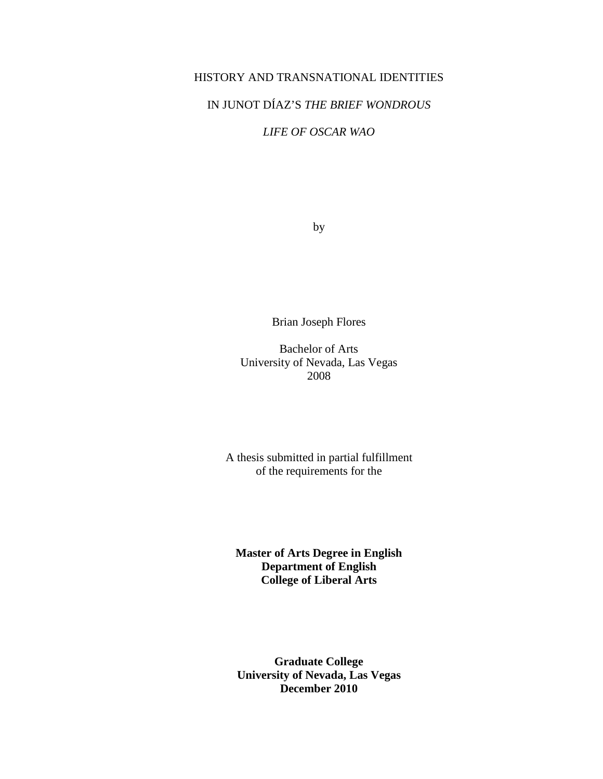#### HISTORY AND TRANSNATIONAL IDENTITIES

# IN JUNOT DÍAZ'S *THE BRIEF WONDROUS*

#### *LIFE OF OSCAR WAO*

by

Brian Joseph Flores

Bachelor of Arts University of Nevada, Las Vegas 2008

A thesis submitted in partial fulfillment of the requirements for the

**Master of Arts Degree in English Department of English College of Liberal Arts** 

**Graduate College University of Nevada, Las Vegas December 2010**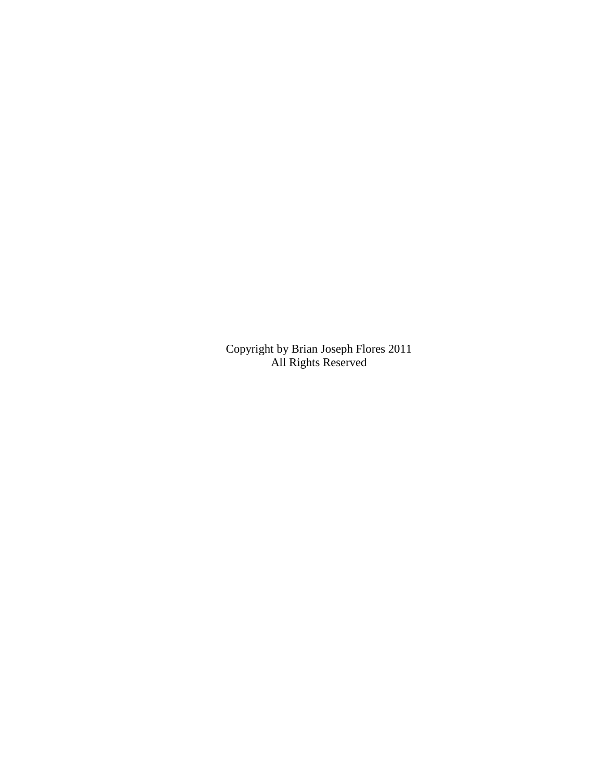Copyright by Brian Joseph Flores 2011 All Rights Reserved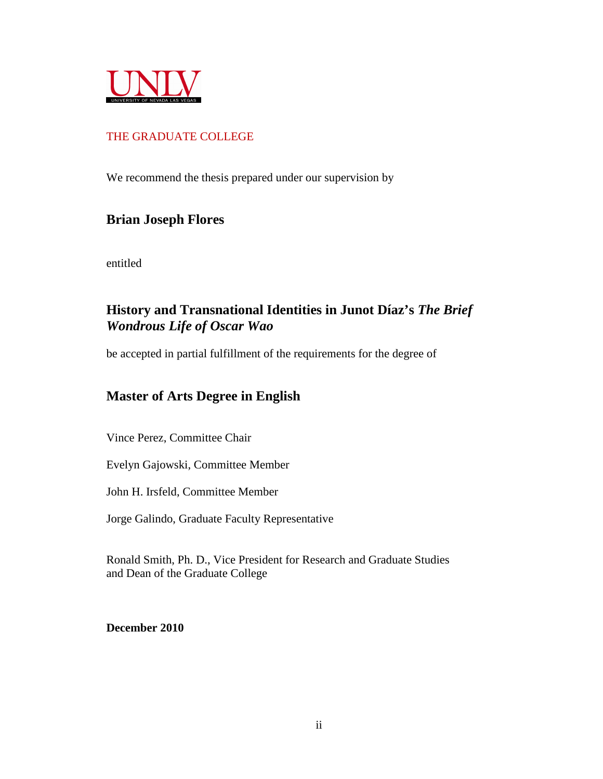

## THE GRADUATE COLLEGE

We recommend the thesis prepared under our supervision by

# **Brian Joseph Flores**

entitled

# **History and Transnational Identities in Junot Díaz's** *The Brief Wondrous Life of Oscar Wao*

be accepted in partial fulfillment of the requirements for the degree of

# **Master of Arts Degree in English**

Vince Perez, Committee Chair

Evelyn Gajowski, Committee Member

John H. Irsfeld, Committee Member

Jorge Galindo, Graduate Faculty Representative

Ronald Smith, Ph. D., Vice President for Research and Graduate Studies and Dean of the Graduate College

**December 2010**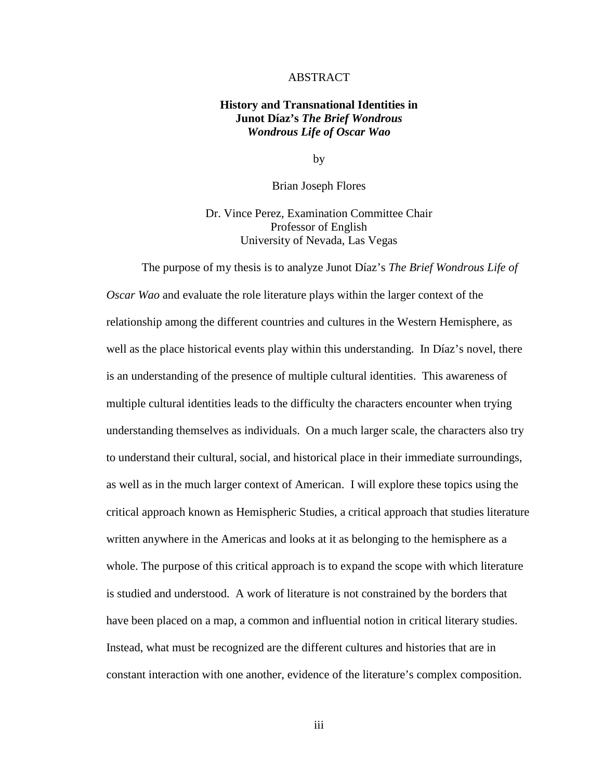#### ABSTRACT

#### **History and Transnational Identities in Junot Díaz's** *The Brief Wondrous Wondrous Life of Oscar Wao*

by

Brian Joseph Flores

Dr. Vince Perez, Examination Committee Chair Professor of English University of Nevada, Las Vegas

The purpose of my thesis is to analyze Junot Díaz's *The Brief Wondrous Life of Oscar Wao* and evaluate the role literature plays within the larger context of the relationship among the different countries and cultures in the Western Hemisphere, as well as the place historical events play within this understanding. In Díaz's novel, there is an understanding of the presence of multiple cultural identities. This awareness of multiple cultural identities leads to the difficulty the characters encounter when trying understanding themselves as individuals. On a much larger scale, the characters also try to understand their cultural, social, and historical place in their immediate surroundings, as well as in the much larger context of American. I will explore these topics using the critical approach known as Hemispheric Studies, a critical approach that studies literature written anywhere in the Americas and looks at it as belonging to the hemisphere as a whole. The purpose of this critical approach is to expand the scope with which literature is studied and understood. A work of literature is not constrained by the borders that have been placed on a map, a common and influential notion in critical literary studies. Instead, what must be recognized are the different cultures and histories that are in constant interaction with one another, evidence of the literature's complex composition.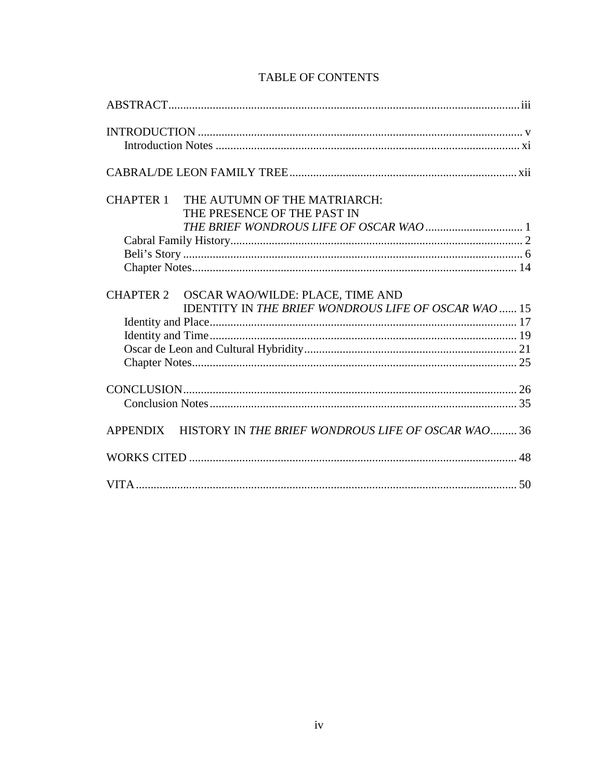| <b>CHAPTER 1</b> | THE AUTUMN OF THE MATRIARCH:                                |  |
|------------------|-------------------------------------------------------------|--|
|                  | THE PRESENCE OF THE PAST IN                                 |  |
|                  |                                                             |  |
|                  |                                                             |  |
|                  |                                                             |  |
|                  |                                                             |  |
| <b>CHAPTER 2</b> | OSCAR WAO/WILDE: PLACE, TIME AND                            |  |
|                  | IDENTITY IN THE BRIEF WONDROUS LIFE OF OSCAR WAO  15        |  |
|                  |                                                             |  |
|                  |                                                             |  |
|                  |                                                             |  |
|                  |                                                             |  |
|                  |                                                             |  |
|                  |                                                             |  |
|                  | APPENDIX HISTORY IN THE BRIEF WONDROUS LIFE OF OSCAR WAO 36 |  |
|                  |                                                             |  |
|                  |                                                             |  |

## **TABLE OF CONTENTS**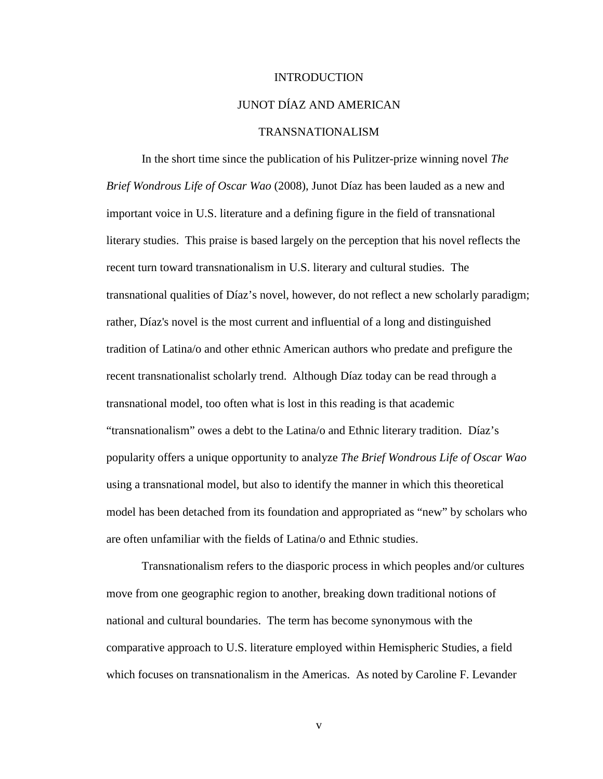#### **INTRODUCTION**

#### JUNOT DÍAZ AND AMERICAN

#### TRANSNATIONALISM

In the short time since the publication of his Pulitzer-prize winning novel *The Brief Wondrous Life of Oscar Wao* (2008), Junot Díaz has been lauded as a new and important voice in U.S. literature and a defining figure in the field of transnational literary studies. This praise is based largely on the perception that his novel reflects the recent turn toward transnationalism in U.S. literary and cultural studies. The transnational qualities of Díaz's novel, however, do not reflect a new scholarly paradigm; rather, Díaz's novel is the most current and influential of a long and distinguished tradition of Latina/o and other ethnic American authors who predate and prefigure the recent transnationalist scholarly trend. Although Díaz today can be read through a transnational model, too often what is lost in this reading is that academic "transnationalism" owes a debt to the Latina/o and Ethnic literary tradition. Díaz's popularity offers a unique opportunity to analyze *The Brief Wondrous Life of Oscar Wao* using a transnational model, but also to identify the manner in which this theoretical model has been detached from its foundation and appropriated as "new" by scholars who are often unfamiliar with the fields of Latina/o and Ethnic studies.

 Transnationalism refers to the diasporic process in which peoples and/or cultures move from one geographic region to another, breaking down traditional notions of national and cultural boundaries. The term has become synonymous with the comparative approach to U.S. literature employed within Hemispheric Studies, a field which focuses on transnationalism in the Americas. As noted by Caroline F. Levander

v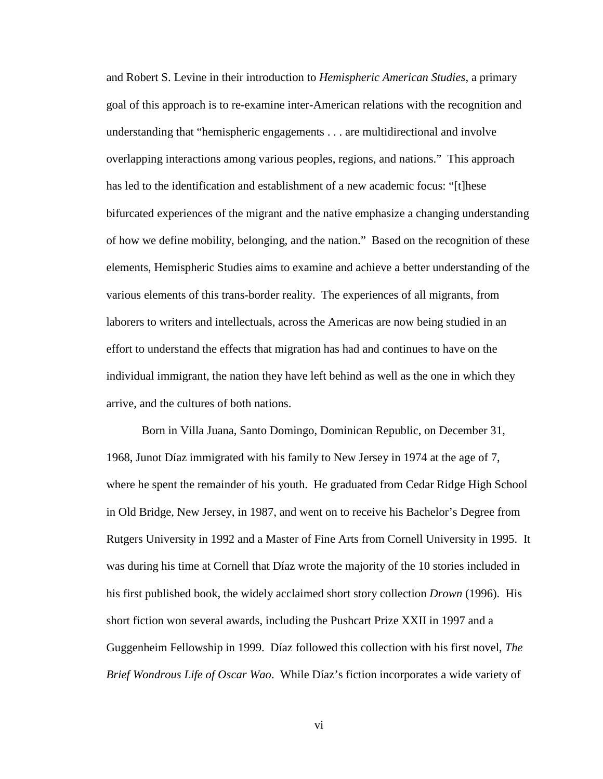and Robert S. Levine in their introduction to *Hemispheric American Studies*, a primary goal of this approach is to re-examine inter-American relations with the recognition and understanding that "hemispheric engagements . . . are multidirectional and involve overlapping interactions among various peoples, regions, and nations." This approach has led to the identification and establishment of a new academic focus: "[t]hese bifurcated experiences of the migrant and the native emphasize a changing understanding of how we define mobility, belonging, and the nation." Based on the recognition of these elements, Hemispheric Studies aims to examine and achieve a better understanding of the various elements of this trans-border reality. The experiences of all migrants, from laborers to writers and intellectuals, across the Americas are now being studied in an effort to understand the effects that migration has had and continues to have on the individual immigrant, the nation they have left behind as well as the one in which they arrive, and the cultures of both nations.

Born in Villa Juana, Santo Domingo, Dominican Republic, on December 31, 1968, Junot Díaz immigrated with his family to New Jersey in 1974 at the age of 7, where he spent the remainder of his youth. He graduated from Cedar Ridge High School in Old Bridge, New Jersey, in 1987, and went on to receive his Bachelor's Degree from Rutgers University in 1992 and a Master of Fine Arts from Cornell University in 1995. It was during his time at Cornell that Díaz wrote the majority of the 10 stories included in his first published book, the widely acclaimed short story collection *Drown* (1996). His short fiction won several awards, including the Pushcart Prize XXII in 1997 and a Guggenheim Fellowship in 1999. Díaz followed this collection with his first novel, *The Brief Wondrous Life of Oscar Wao*. While Díaz's fiction incorporates a wide variety of

vi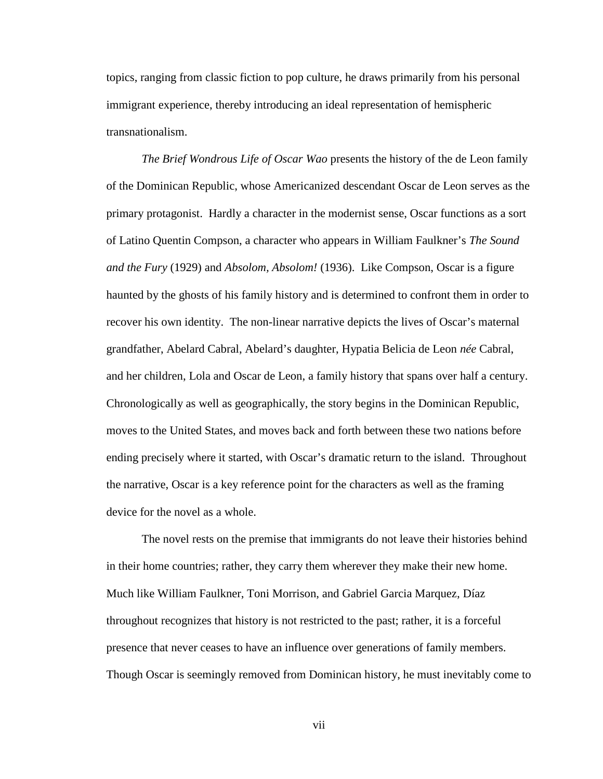topics, ranging from classic fiction to pop culture, he draws primarily from his personal immigrant experience, thereby introducing an ideal representation of hemispheric transnationalism.

*The Brief Wondrous Life of Oscar Wao* presents the history of the de Leon family of the Dominican Republic, whose Americanized descendant Oscar de Leon serves as the primary protagonist. Hardly a character in the modernist sense, Oscar functions as a sort of Latino Quentin Compson, a character who appears in William Faulkner's *The Sound and the Fury* (1929) and *Absolom, Absolom!* (1936). Like Compson, Oscar is a figure haunted by the ghosts of his family history and is determined to confront them in order to recover his own identity. The non-linear narrative depicts the lives of Oscar's maternal grandfather, Abelard Cabral, Abelard's daughter, Hypatia Belicia de Leon *née* Cabral, and her children, Lola and Oscar de Leon, a family history that spans over half a century. Chronologically as well as geographically, the story begins in the Dominican Republic, moves to the United States, and moves back and forth between these two nations before ending precisely where it started, with Oscar's dramatic return to the island. Throughout the narrative, Oscar is a key reference point for the characters as well as the framing device for the novel as a whole.

The novel rests on the premise that immigrants do not leave their histories behind in their home countries; rather, they carry them wherever they make their new home. Much like William Faulkner, Toni Morrison, and Gabriel Garcia Marquez, Díaz throughout recognizes that history is not restricted to the past; rather, it is a forceful presence that never ceases to have an influence over generations of family members. Though Oscar is seemingly removed from Dominican history, he must inevitably come to

vii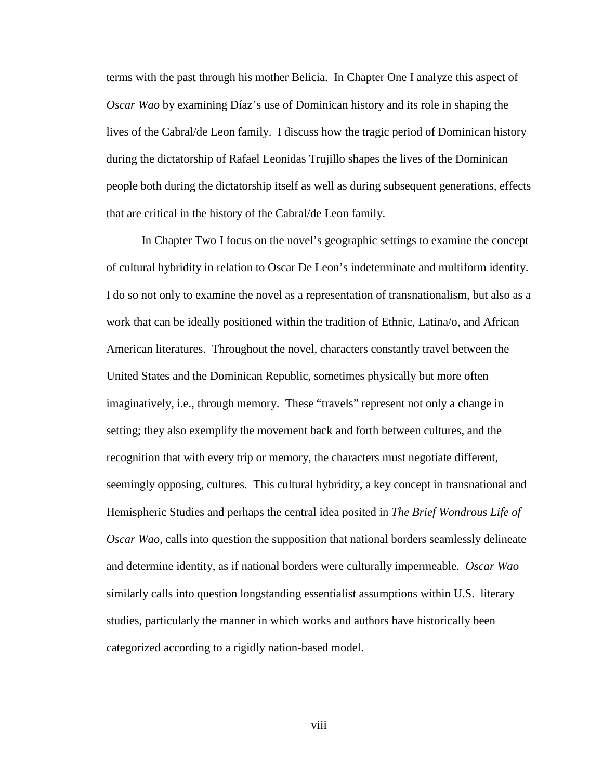terms with the past through his mother Belicia. In Chapter One I analyze this aspect of *Oscar Wao* by examining Díaz's use of Dominican history and its role in shaping the lives of the Cabral/de Leon family. I discuss how the tragic period of Dominican history during the dictatorship of Rafael Leonidas Trujillo shapes the lives of the Dominican people both during the dictatorship itself as well as during subsequent generations, effects that are critical in the history of the Cabral/de Leon family.

 In Chapter Two I focus on the novel's geographic settings to examine the concept of cultural hybridity in relation to Oscar De Leon's indeterminate and multiform identity. I do so not only to examine the novel as a representation of transnationalism, but also as a work that can be ideally positioned within the tradition of Ethnic, Latina/o, and African American literatures. Throughout the novel, characters constantly travel between the United States and the Dominican Republic, sometimes physically but more often imaginatively, i.e., through memory. These "travels" represent not only a change in setting; they also exemplify the movement back and forth between cultures, and the recognition that with every trip or memory, the characters must negotiate different, seemingly opposing, cultures. This cultural hybridity, a key concept in transnational and Hemispheric Studies and perhaps the central idea posited in *The Brief Wondrous Life of Oscar Wao*, calls into question the supposition that national borders seamlessly delineate and determine identity, as if national borders were culturally impermeable. *Oscar Wao* similarly calls into question longstanding essentialist assumptions within U.S. literary studies, particularly the manner in which works and authors have historically been categorized according to a rigidly nation-based model.

viii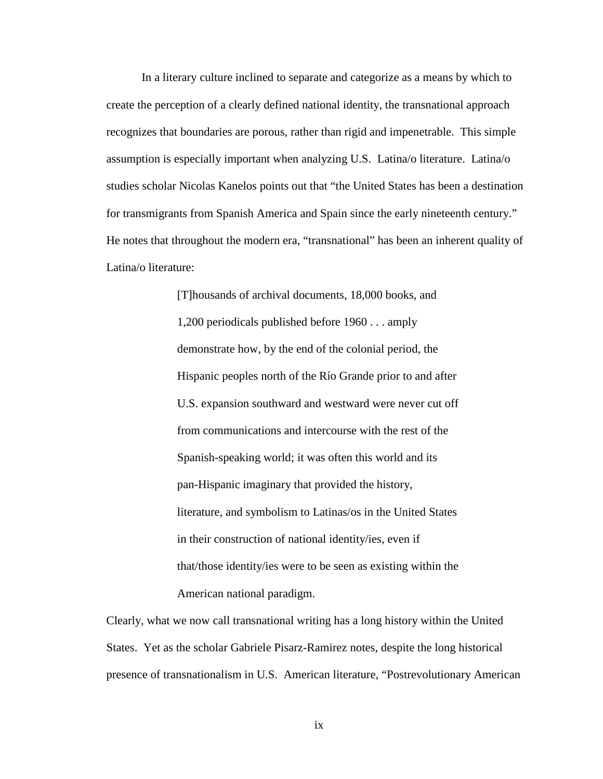In a literary culture inclined to separate and categorize as a means by which to create the perception of a clearly defined national identity, the transnational approach recognizes that boundaries are porous, rather than rigid and impenetrable. This simple assumption is especially important when analyzing U.S. Latina/o literature. Latina/o studies scholar Nicolas Kanelos points out that "the United States has been a destination for transmigrants from Spanish America and Spain since the early nineteenth century." He notes that throughout the modern era, "transnational" has been an inherent quality of Latina/o literature:

> [T]housands of archival documents, 18,000 books, and 1,200 periodicals published before 1960 . . . amply demonstrate how, by the end of the colonial period, the Hispanic peoples north of the Río Grande prior to and after U.S. expansion southward and westward were never cut off from communications and intercourse with the rest of the Spanish-speaking world; it was often this world and its pan-Hispanic imaginary that provided the history, literature, and symbolism to Latinas/os in the United States in their construction of national identity/ies, even if that/those identity/ies were to be seen as existing within the American national paradigm.

Clearly, what we now call transnational writing has a long history within the United States. Yet as the scholar Gabriele Pisarz-Ramirez notes, despite the long historical presence of transnationalism in U.S. American literature, "Postrevolutionary American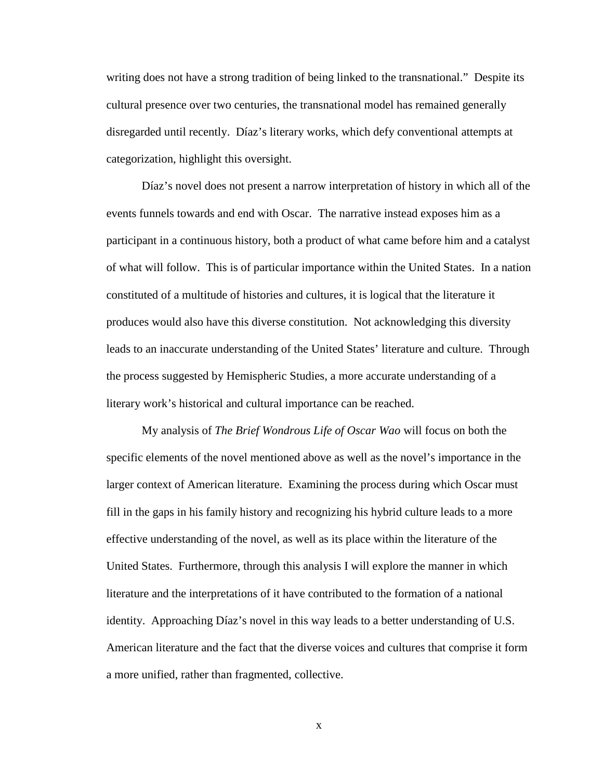writing does not have a strong tradition of being linked to the transnational." Despite its cultural presence over two centuries, the transnational model has remained generally disregarded until recently. Díaz's literary works, which defy conventional attempts at categorization, highlight this oversight.

Díaz's novel does not present a narrow interpretation of history in which all of the events funnels towards and end with Oscar. The narrative instead exposes him as a participant in a continuous history, both a product of what came before him and a catalyst of what will follow. This is of particular importance within the United States. In a nation constituted of a multitude of histories and cultures, it is logical that the literature it produces would also have this diverse constitution. Not acknowledging this diversity leads to an inaccurate understanding of the United States' literature and culture. Through the process suggested by Hemispheric Studies, a more accurate understanding of a literary work's historical and cultural importance can be reached.

 My analysis of *The Brief Wondrous Life of Oscar Wao* will focus on both the specific elements of the novel mentioned above as well as the novel's importance in the larger context of American literature. Examining the process during which Oscar must fill in the gaps in his family history and recognizing his hybrid culture leads to a more effective understanding of the novel, as well as its place within the literature of the United States. Furthermore, through this analysis I will explore the manner in which literature and the interpretations of it have contributed to the formation of a national identity. Approaching Díaz's novel in this way leads to a better understanding of U.S. American literature and the fact that the diverse voices and cultures that comprise it form a more unified, rather than fragmented, collective.

x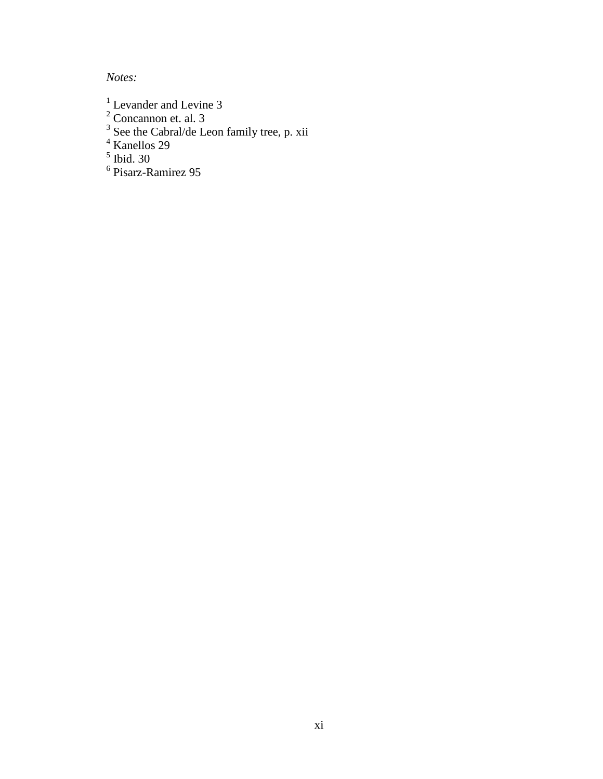*Notes:*

- 
- <sup>1</sup> Levander and Levine 3<br>
<sup>2</sup> Concannon et. al. 3<br>
<sup>3</sup> See the Cabral/de Leon family tree, p. xii<br>
<sup>4</sup> Kanellos 29<br>
<sup>5</sup> Ibid. 30<br>
<sup>6</sup> Pisarz-Ramirez 95
- 
- 
-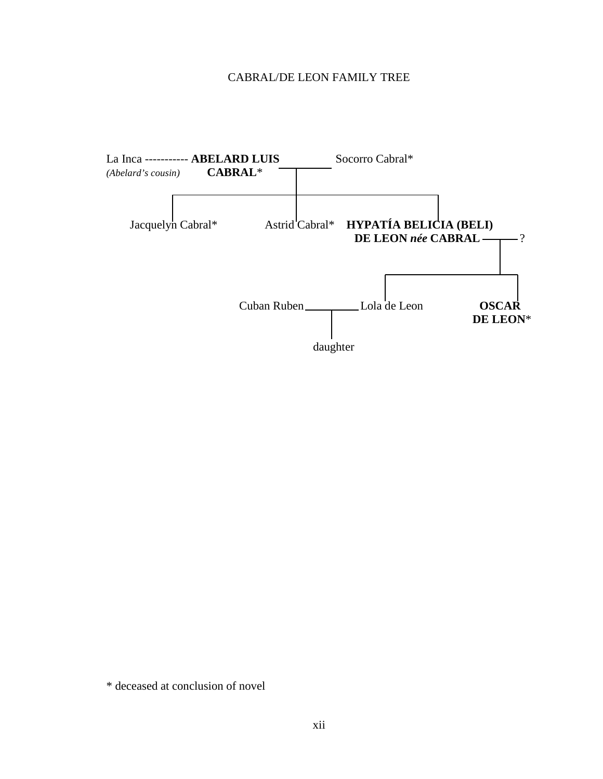#### CABRAL/DE LEON FAMILY TREE



\* deceased at conclusion of novel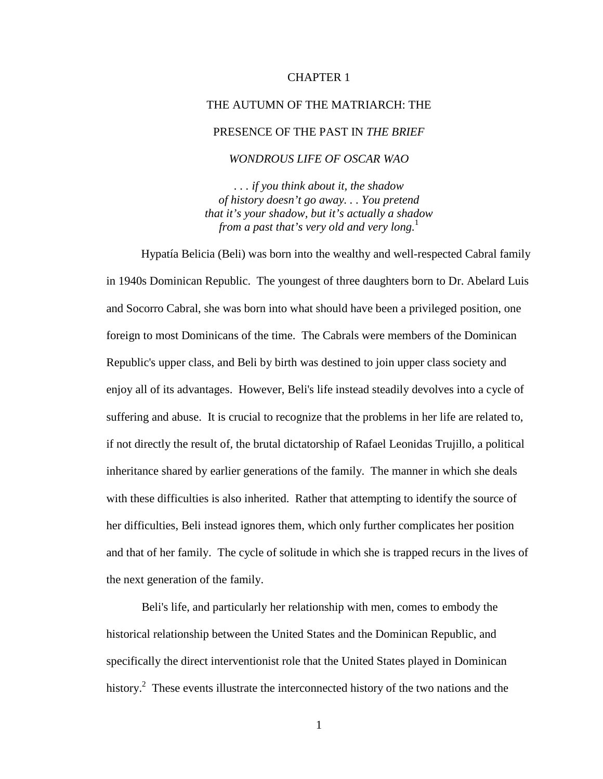#### CHAPTER 1

# THE AUTUMN OF THE MATRIARCH: THE

## PRESENCE OF THE PAST IN *THE BRIEF*

*WONDROUS LIFE OF OSCAR WAO* 

*. . . if you think about it, the shadow of history doesn't go away. . . You pretend that it's your shadow, but it's actually a shadow from a past that's very old and very long.*<sup>1</sup>

Hypatía Belicia (Beli) was born into the wealthy and well-respected Cabral family in 1940s Dominican Republic. The youngest of three daughters born to Dr. Abelard Luis and Socorro Cabral, she was born into what should have been a privileged position, one foreign to most Dominicans of the time. The Cabrals were members of the Dominican Republic's upper class, and Beli by birth was destined to join upper class society and enjoy all of its advantages. However, Beli's life instead steadily devolves into a cycle of suffering and abuse. It is crucial to recognize that the problems in her life are related to, if not directly the result of, the brutal dictatorship of Rafael Leonidas Trujillo, a political inheritance shared by earlier generations of the family. The manner in which she deals with these difficulties is also inherited. Rather that attempting to identify the source of her difficulties, Beli instead ignores them, which only further complicates her position and that of her family. The cycle of solitude in which she is trapped recurs in the lives of the next generation of the family.

 Beli's life, and particularly her relationship with men, comes to embody the historical relationship between the United States and the Dominican Republic, and specifically the direct interventionist role that the United States played in Dominican history.<sup>2</sup> These events illustrate the interconnected history of the two nations and the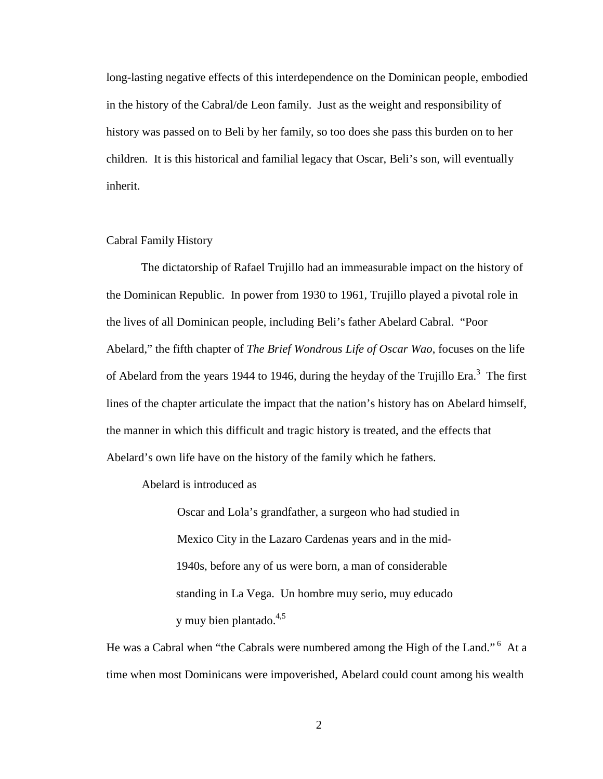long-lasting negative effects of this interdependence on the Dominican people, embodied in the history of the Cabral/de Leon family. Just as the weight and responsibility of history was passed on to Beli by her family, so too does she pass this burden on to her children. It is this historical and familial legacy that Oscar, Beli's son, will eventually inherit.

#### Cabral Family History

The dictatorship of Rafael Trujillo had an immeasurable impact on the history of the Dominican Republic. In power from 1930 to 1961, Trujillo played a pivotal role in the lives of all Dominican people, including Beli's father Abelard Cabral. "Poor Abelard," the fifth chapter of *The Brief Wondrous Life of Oscar Wao*, focuses on the life of Abelard from the years 1944 to 1946, during the heyday of the Trujillo Era.<sup>3</sup> The first lines of the chapter articulate the impact that the nation's history has on Abelard himself, the manner in which this difficult and tragic history is treated, and the effects that Abelard's own life have on the history of the family which he fathers.

Abelard is introduced as

Oscar and Lola's grandfather, a surgeon who had studied in Mexico City in the Lazaro Cardenas years and in the mid-1940s, before any of us were born, a man of considerable standing in La Vega. Un hombre muy serio, muy educado y muy bien plantado. $4,5$ 

He was a Cabral when "the Cabrals were numbered among the High of the Land."<sup>6</sup> At a time when most Dominicans were impoverished, Abelard could count among his wealth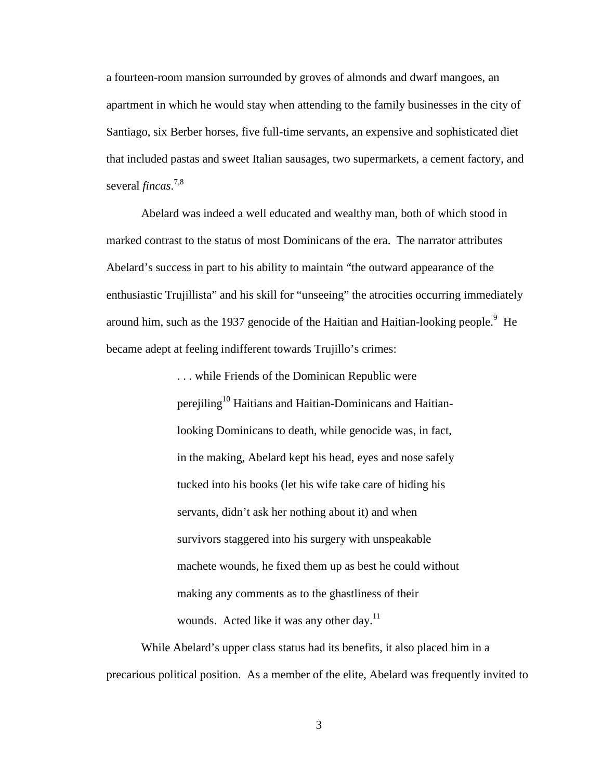a fourteen-room mansion surrounded by groves of almonds and dwarf mangoes, an apartment in which he would stay when attending to the family businesses in the city of Santiago, six Berber horses, five full-time servants, an expensive and sophisticated diet that included pastas and sweet Italian sausages, two supermarkets, a cement factory, and several *fincas*. 7,8

Abelard was indeed a well educated and wealthy man, both of which stood in marked contrast to the status of most Dominicans of the era. The narrator attributes Abelard's success in part to his ability to maintain "the outward appearance of the enthusiastic Trujillista" and his skill for "unseeing" the atrocities occurring immediately around him, such as the 1937 genocide of the Haitian and Haitian-looking people.<sup>9</sup> He became adept at feeling indifferent towards Trujillo's crimes:

> . . . while Friends of the Dominican Republic were perejiling<sup>10</sup> Haitians and Haitian-Dominicans and Haitianlooking Dominicans to death, while genocide was, in fact, in the making, Abelard kept his head, eyes and nose safely tucked into his books (let his wife take care of hiding his servants, didn't ask her nothing about it) and when survivors staggered into his surgery with unspeakable machete wounds, he fixed them up as best he could without making any comments as to the ghastliness of their wounds. Acted like it was any other day. $^{11}$

While Abelard's upper class status had its benefits, it also placed him in a precarious political position. As a member of the elite, Abelard was frequently invited to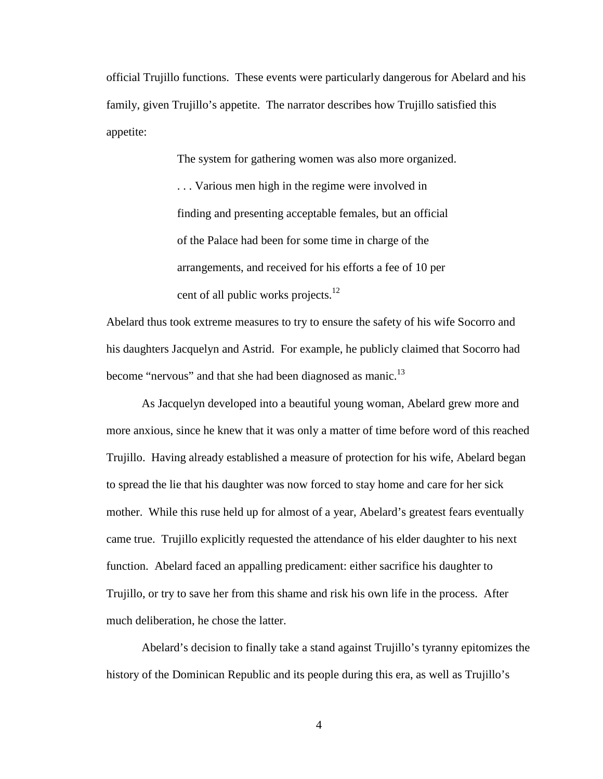official Trujillo functions. These events were particularly dangerous for Abelard and his family, given Trujillo's appetite. The narrator describes how Trujillo satisfied this appetite:

The system for gathering women was also more organized.

. . . Various men high in the regime were involved in finding and presenting acceptable females, but an official of the Palace had been for some time in charge of the arrangements, and received for his efforts a fee of 10 per cent of all public works projects.<sup>12</sup>

Abelard thus took extreme measures to try to ensure the safety of his wife Socorro and his daughters Jacquelyn and Astrid. For example, he publicly claimed that Socorro had become "nervous" and that she had been diagnosed as manic.<sup>13</sup>

As Jacquelyn developed into a beautiful young woman, Abelard grew more and more anxious, since he knew that it was only a matter of time before word of this reached Trujillo. Having already established a measure of protection for his wife, Abelard began to spread the lie that his daughter was now forced to stay home and care for her sick mother. While this ruse held up for almost of a year, Abelard's greatest fears eventually came true. Trujillo explicitly requested the attendance of his elder daughter to his next function. Abelard faced an appalling predicament: either sacrifice his daughter to Trujillo, or try to save her from this shame and risk his own life in the process. After much deliberation, he chose the latter.

 Abelard's decision to finally take a stand against Trujillo's tyranny epitomizes the history of the Dominican Republic and its people during this era, as well as Trujillo's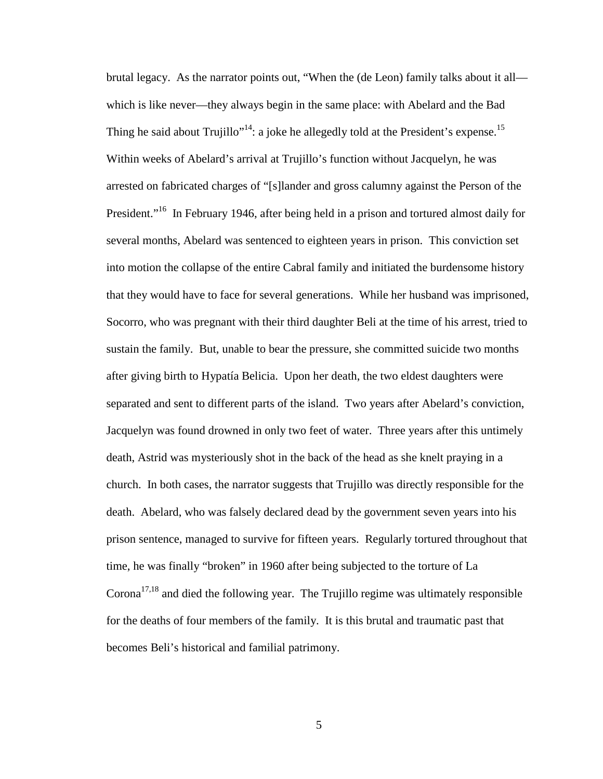brutal legacy. As the narrator points out, "When the (de Leon) family talks about it all which is like never—they always begin in the same place: with Abelard and the Bad Thing he said about Trujillo"<sup>14</sup>: a joke he allegedly told at the President's expense.<sup>15</sup> Within weeks of Abelard's arrival at Trujillo's function without Jacquelyn, he was arrested on fabricated charges of "[s]lander and gross calumny against the Person of the President."<sup>16</sup> In February 1946, after being held in a prison and tortured almost daily for several months, Abelard was sentenced to eighteen years in prison. This conviction set into motion the collapse of the entire Cabral family and initiated the burdensome history that they would have to face for several generations. While her husband was imprisoned, Socorro, who was pregnant with their third daughter Beli at the time of his arrest, tried to sustain the family. But, unable to bear the pressure, she committed suicide two months after giving birth to Hypatía Belicia. Upon her death, the two eldest daughters were separated and sent to different parts of the island. Two years after Abelard's conviction, Jacquelyn was found drowned in only two feet of water. Three years after this untimely death, Astrid was mysteriously shot in the back of the head as she knelt praying in a church. In both cases, the narrator suggests that Trujillo was directly responsible for the death. Abelard, who was falsely declared dead by the government seven years into his prison sentence, managed to survive for fifteen years. Regularly tortured throughout that time, he was finally "broken" in 1960 after being subjected to the torture of La Corona<sup>17,18</sup> and died the following year. The Trujillo regime was ultimately responsible for the deaths of four members of the family. It is this brutal and traumatic past that becomes Beli's historical and familial patrimony.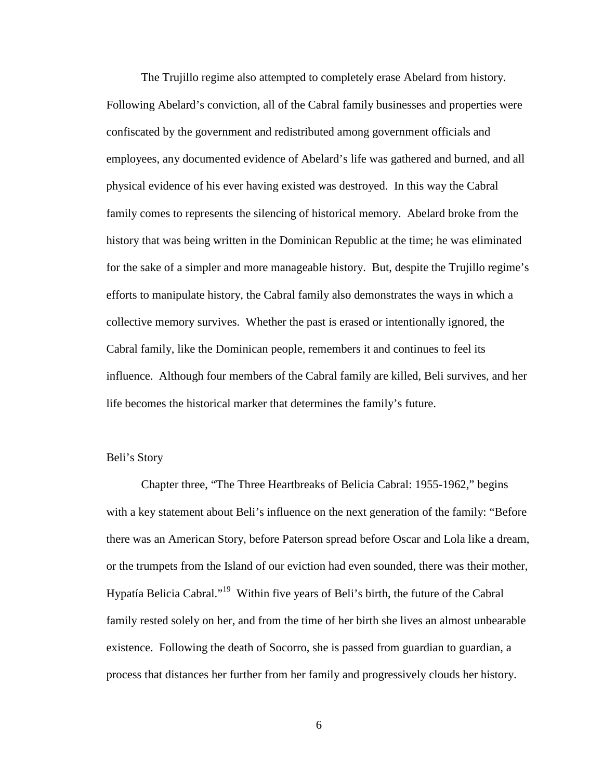The Trujillo regime also attempted to completely erase Abelard from history. Following Abelard's conviction, all of the Cabral family businesses and properties were confiscated by the government and redistributed among government officials and employees, any documented evidence of Abelard's life was gathered and burned, and all physical evidence of his ever having existed was destroyed. In this way the Cabral family comes to represents the silencing of historical memory. Abelard broke from the history that was being written in the Dominican Republic at the time; he was eliminated for the sake of a simpler and more manageable history. But, despite the Trujillo regime's efforts to manipulate history, the Cabral family also demonstrates the ways in which a collective memory survives. Whether the past is erased or intentionally ignored, the Cabral family, like the Dominican people, remembers it and continues to feel its influence. Although four members of the Cabral family are killed, Beli survives, and her life becomes the historical marker that determines the family's future.

#### Beli's Story

Chapter three, "The Three Heartbreaks of Belicia Cabral: 1955-1962," begins with a key statement about Beli's influence on the next generation of the family: "Before there was an American Story, before Paterson spread before Oscar and Lola like a dream, or the trumpets from the Island of our eviction had even sounded, there was their mother, Hypatía Belicia Cabral."<sup>19</sup> Within five years of Beli's birth, the future of the Cabral family rested solely on her, and from the time of her birth she lives an almost unbearable existence. Following the death of Socorro, she is passed from guardian to guardian, a process that distances her further from her family and progressively clouds her history.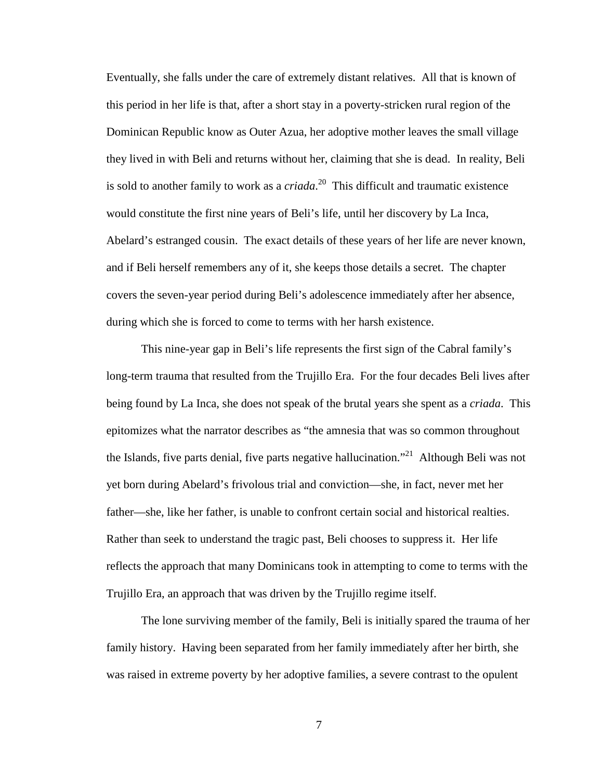Eventually, she falls under the care of extremely distant relatives. All that is known of this period in her life is that, after a short stay in a poverty-stricken rural region of the Dominican Republic know as Outer Azua, her adoptive mother leaves the small village they lived in with Beli and returns without her, claiming that she is dead. In reality, Beli is sold to another family to work as a *criada*. <sup>20</sup> This difficult and traumatic existence would constitute the first nine years of Beli's life, until her discovery by La Inca, Abelard's estranged cousin. The exact details of these years of her life are never known, and if Beli herself remembers any of it, she keeps those details a secret. The chapter covers the seven-year period during Beli's adolescence immediately after her absence, during which she is forced to come to terms with her harsh existence.

This nine-year gap in Beli's life represents the first sign of the Cabral family's long-term trauma that resulted from the Trujillo Era. For the four decades Beli lives after being found by La Inca, she does not speak of the brutal years she spent as a *criada*. This epitomizes what the narrator describes as "the amnesia that was so common throughout the Islands, five parts denial, five parts negative hallucination."<sup>21</sup> Although Beli was not yet born during Abelard's frivolous trial and conviction—she, in fact, never met her father—she, like her father, is unable to confront certain social and historical realties. Rather than seek to understand the tragic past, Beli chooses to suppress it. Her life reflects the approach that many Dominicans took in attempting to come to terms with the Trujillo Era, an approach that was driven by the Trujillo regime itself.

The lone surviving member of the family, Beli is initially spared the trauma of her family history. Having been separated from her family immediately after her birth, she was raised in extreme poverty by her adoptive families, a severe contrast to the opulent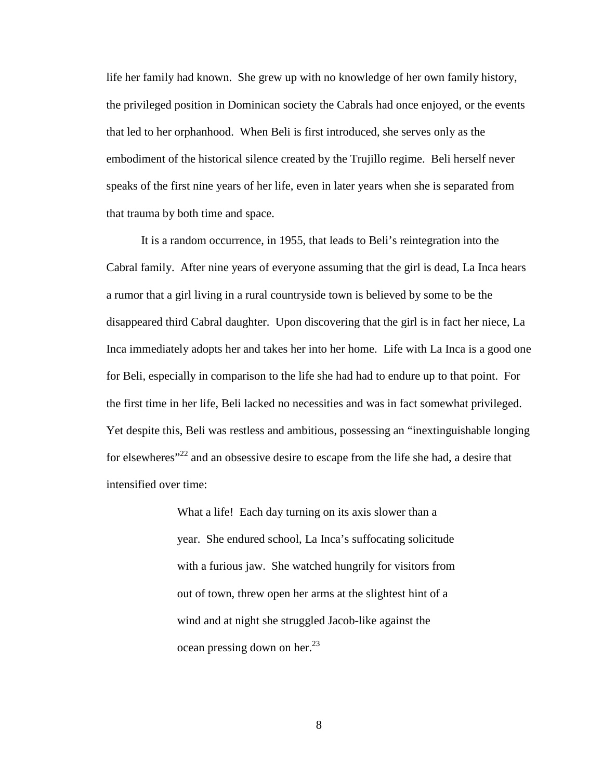life her family had known. She grew up with no knowledge of her own family history, the privileged position in Dominican society the Cabrals had once enjoyed, or the events that led to her orphanhood. When Beli is first introduced, she serves only as the embodiment of the historical silence created by the Trujillo regime. Beli herself never speaks of the first nine years of her life, even in later years when she is separated from that trauma by both time and space.

It is a random occurrence, in 1955, that leads to Beli's reintegration into the Cabral family. After nine years of everyone assuming that the girl is dead, La Inca hears a rumor that a girl living in a rural countryside town is believed by some to be the disappeared third Cabral daughter. Upon discovering that the girl is in fact her niece, La Inca immediately adopts her and takes her into her home. Life with La Inca is a good one for Beli, especially in comparison to the life she had had to endure up to that point. For the first time in her life, Beli lacked no necessities and was in fact somewhat privileged. Yet despite this, Beli was restless and ambitious, possessing an "inextinguishable longing for elsewheres<sup>"22</sup> and an obsessive desire to escape from the life she had, a desire that intensified over time:

> What a life! Each day turning on its axis slower than a year. She endured school, La Inca's suffocating solicitude with a furious jaw. She watched hungrily for visitors from out of town, threw open her arms at the slightest hint of a wind and at night she struggled Jacob-like against the ocean pressing down on her. $^{23}$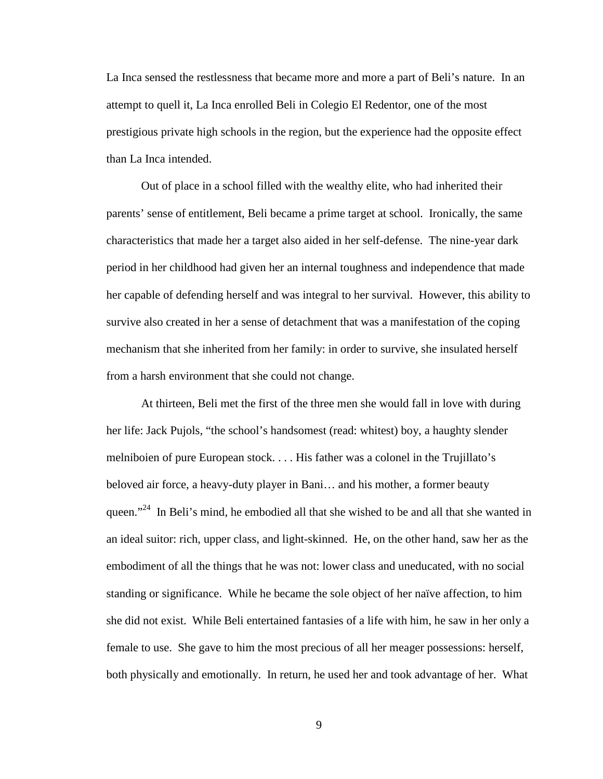La Inca sensed the restlessness that became more and more a part of Beli's nature. In an attempt to quell it, La Inca enrolled Beli in Colegio El Redentor, one of the most prestigious private high schools in the region, but the experience had the opposite effect than La Inca intended.

Out of place in a school filled with the wealthy elite, who had inherited their parents' sense of entitlement, Beli became a prime target at school. Ironically, the same characteristics that made her a target also aided in her self-defense. The nine-year dark period in her childhood had given her an internal toughness and independence that made her capable of defending herself and was integral to her survival. However, this ability to survive also created in her a sense of detachment that was a manifestation of the coping mechanism that she inherited from her family: in order to survive, she insulated herself from a harsh environment that she could not change.

At thirteen, Beli met the first of the three men she would fall in love with during her life: Jack Pujols, "the school's handsomest (read: whitest) boy, a haughty slender melniboien of pure European stock. . . . His father was a colonel in the Trujillato's beloved air force, a heavy-duty player in Bani… and his mother, a former beauty queen."<sup>24</sup> In Beli's mind, he embodied all that she wished to be and all that she wanted in an ideal suitor: rich, upper class, and light-skinned. He, on the other hand, saw her as the embodiment of all the things that he was not: lower class and uneducated, with no social standing or significance. While he became the sole object of her naïve affection, to him she did not exist. While Beli entertained fantasies of a life with him, he saw in her only a female to use. She gave to him the most precious of all her meager possessions: herself, both physically and emotionally. In return, he used her and took advantage of her. What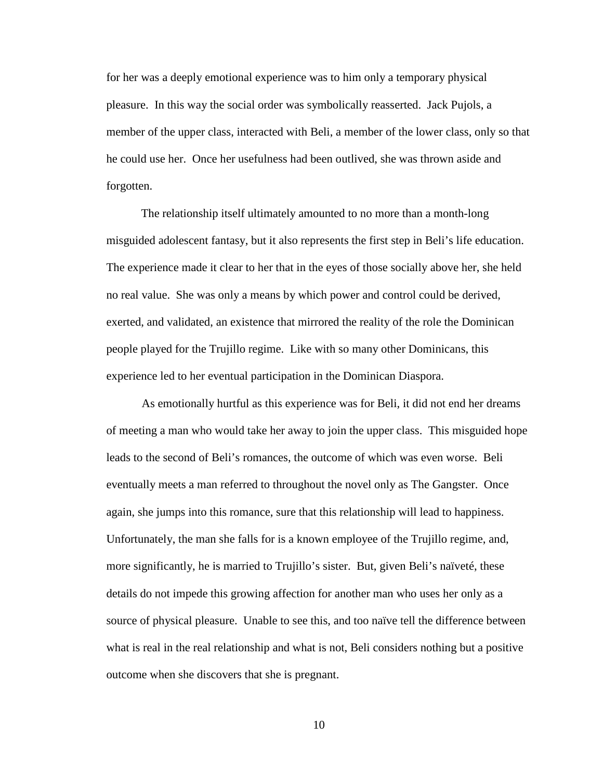for her was a deeply emotional experience was to him only a temporary physical pleasure. In this way the social order was symbolically reasserted. Jack Pujols, a member of the upper class, interacted with Beli, a member of the lower class, only so that he could use her. Once her usefulness had been outlived, she was thrown aside and forgotten.

The relationship itself ultimately amounted to no more than a month-long misguided adolescent fantasy, but it also represents the first step in Beli's life education. The experience made it clear to her that in the eyes of those socially above her, she held no real value. She was only a means by which power and control could be derived, exerted, and validated, an existence that mirrored the reality of the role the Dominican people played for the Trujillo regime. Like with so many other Dominicans, this experience led to her eventual participation in the Dominican Diaspora.

 As emotionally hurtful as this experience was for Beli, it did not end her dreams of meeting a man who would take her away to join the upper class. This misguided hope leads to the second of Beli's romances, the outcome of which was even worse. Beli eventually meets a man referred to throughout the novel only as The Gangster. Once again, she jumps into this romance, sure that this relationship will lead to happiness. Unfortunately, the man she falls for is a known employee of the Trujillo regime, and, more significantly, he is married to Trujillo's sister. But, given Beli's naïveté, these details do not impede this growing affection for another man who uses her only as a source of physical pleasure. Unable to see this, and too naïve tell the difference between what is real in the real relationship and what is not, Beli considers nothing but a positive outcome when she discovers that she is pregnant.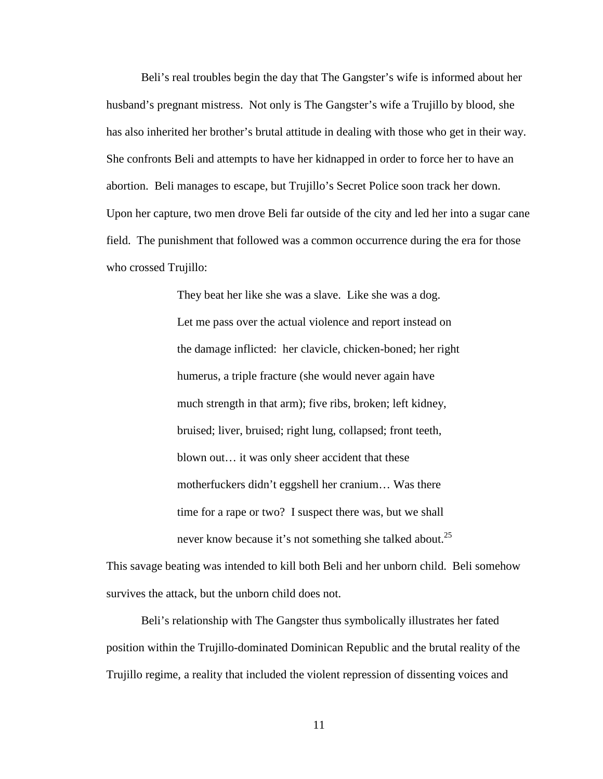Beli's real troubles begin the day that The Gangster's wife is informed about her husband's pregnant mistress. Not only is The Gangster's wife a Trujillo by blood, she has also inherited her brother's brutal attitude in dealing with those who get in their way. She confronts Beli and attempts to have her kidnapped in order to force her to have an abortion. Beli manages to escape, but Trujillo's Secret Police soon track her down. Upon her capture, two men drove Beli far outside of the city and led her into a sugar cane field. The punishment that followed was a common occurrence during the era for those who crossed Trujillo:

> They beat her like she was a slave. Like she was a dog. Let me pass over the actual violence and report instead on the damage inflicted: her clavicle, chicken-boned; her right humerus, a triple fracture (she would never again have much strength in that arm); five ribs, broken; left kidney, bruised; liver, bruised; right lung, collapsed; front teeth, blown out… it was only sheer accident that these motherfuckers didn't eggshell her cranium… Was there time for a rape or two? I suspect there was, but we shall never know because it's not something she talked about.<sup>25</sup>

This savage beating was intended to kill both Beli and her unborn child. Beli somehow survives the attack, but the unborn child does not.

Beli's relationship with The Gangster thus symbolically illustrates her fated position within the Trujillo-dominated Dominican Republic and the brutal reality of the Trujillo regime, a reality that included the violent repression of dissenting voices and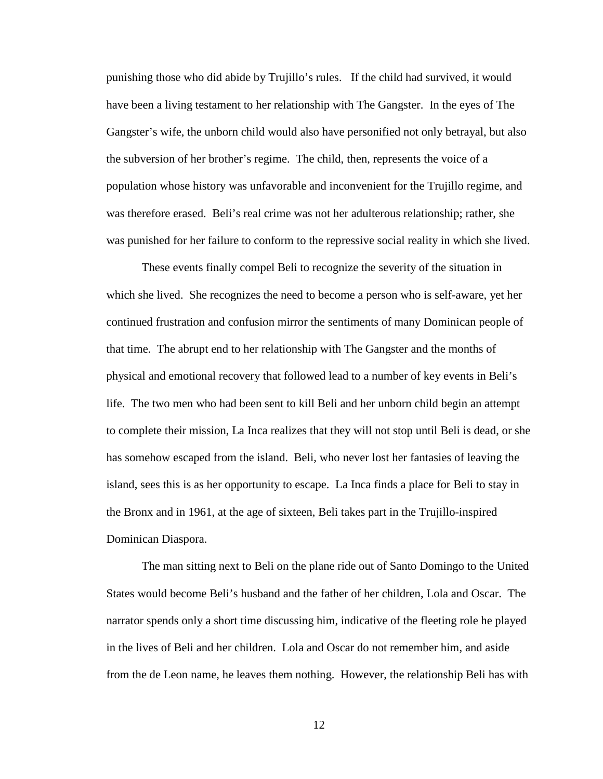punishing those who did abide by Trujillo's rules. If the child had survived, it would have been a living testament to her relationship with The Gangster. In the eyes of The Gangster's wife, the unborn child would also have personified not only betrayal, but also the subversion of her brother's regime. The child, then, represents the voice of a population whose history was unfavorable and inconvenient for the Trujillo regime, and was therefore erased. Beli's real crime was not her adulterous relationship; rather, she was punished for her failure to conform to the repressive social reality in which she lived.

 These events finally compel Beli to recognize the severity of the situation in which she lived. She recognizes the need to become a person who is self-aware, yet her continued frustration and confusion mirror the sentiments of many Dominican people of that time. The abrupt end to her relationship with The Gangster and the months of physical and emotional recovery that followed lead to a number of key events in Beli's life. The two men who had been sent to kill Beli and her unborn child begin an attempt to complete their mission, La Inca realizes that they will not stop until Beli is dead, or she has somehow escaped from the island. Beli, who never lost her fantasies of leaving the island, sees this is as her opportunity to escape. La Inca finds a place for Beli to stay in the Bronx and in 1961, at the age of sixteen, Beli takes part in the Trujillo-inspired Dominican Diaspora.

 The man sitting next to Beli on the plane ride out of Santo Domingo to the United States would become Beli's husband and the father of her children, Lola and Oscar. The narrator spends only a short time discussing him, indicative of the fleeting role he played in the lives of Beli and her children. Lola and Oscar do not remember him, and aside from the de Leon name, he leaves them nothing. However, the relationship Beli has with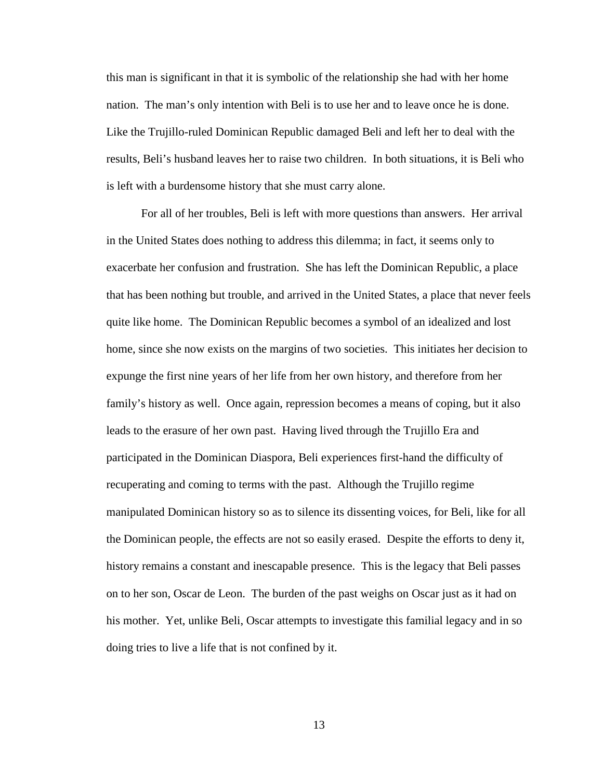this man is significant in that it is symbolic of the relationship she had with her home nation. The man's only intention with Beli is to use her and to leave once he is done. Like the Trujillo-ruled Dominican Republic damaged Beli and left her to deal with the results, Beli's husband leaves her to raise two children. In both situations, it is Beli who is left with a burdensome history that she must carry alone.

For all of her troubles, Beli is left with more questions than answers. Her arrival in the United States does nothing to address this dilemma; in fact, it seems only to exacerbate her confusion and frustration. She has left the Dominican Republic, a place that has been nothing but trouble, and arrived in the United States, a place that never feels quite like home. The Dominican Republic becomes a symbol of an idealized and lost home, since she now exists on the margins of two societies. This initiates her decision to expunge the first nine years of her life from her own history, and therefore from her family's history as well. Once again, repression becomes a means of coping, but it also leads to the erasure of her own past. Having lived through the Trujillo Era and participated in the Dominican Diaspora, Beli experiences first-hand the difficulty of recuperating and coming to terms with the past. Although the Trujillo regime manipulated Dominican history so as to silence its dissenting voices, for Beli, like for all the Dominican people, the effects are not so easily erased. Despite the efforts to deny it, history remains a constant and inescapable presence. This is the legacy that Beli passes on to her son, Oscar de Leon. The burden of the past weighs on Oscar just as it had on his mother. Yet, unlike Beli, Oscar attempts to investigate this familial legacy and in so doing tries to live a life that is not confined by it.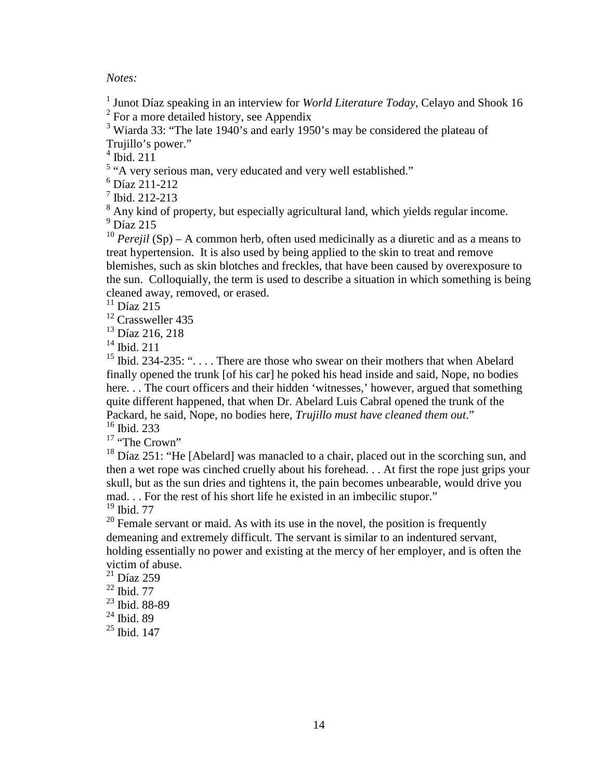*Notes:*

<sup>1</sup> Junot Díaz speaking in an interview for *World Literature Today*, Celayo and Shook 16

<sup>2</sup> For a more detailed history, see Appendix

<sup>3</sup> Wiarda 33: "The late 1940's and early 1950's may be considered the plateau of Trujillo's power."

 $<sup>4</sup>$  Ibid. 211</sup>

<sup>5</sup> "A very serious man, very educated and very well established."

6 Díaz 211-212

7 Ibid. 212-213

<sup>8</sup> Any kind of property, but especially agricultural land, which yields regular income.  $9$  Díaz 215

<sup>10</sup> *Perejil* (Sp) – A common herb, often used medicinally as a diuretic and as a means to treat hypertension. It is also used by being applied to the skin to treat and remove blemishes, such as skin blotches and freckles, that have been caused by overexposure to the sun. Colloquially, the term is used to describe a situation in which something is being cleaned away, removed, or erased.

 $^{11}$  Díaz 215

<sup>12</sup> Crassweller 435

<sup>13</sup> Díaz 216, 218

 $14$  Ibid. 211

<sup>15</sup> Ibid. 234-235: " $\dots$ . There are those who swear on their mothers that when Abelard finally opened the trunk [of his car] he poked his head inside and said, Nope, no bodies here... The court officers and their hidden 'witnesses,' however, argued that something quite different happened, that when Dr. Abelard Luis Cabral opened the trunk of the Packard, he said, Nope, no bodies here, *Trujillo must have cleaned them out*." <sup>16</sup> Ibid. 233

<sup>17</sup> "The Crown"

 $18$  Díaz 251: "He [Abelard] was manacled to a chair, placed out in the scorching sun, and then a wet rope was cinched cruelly about his forehead. . . At first the rope just grips your skull, but as the sun dries and tightens it, the pain becomes unbearable, would drive you mad. . . For the rest of his short life he existed in an imbecilic stupor."

<sup>19</sup> Ibid. 77

 $20$  Female servant or maid. As with its use in the novel, the position is frequently demeaning and extremely difficult. The servant is similar to an indentured servant, holding essentially no power and existing at the mercy of her employer, and is often the victim of abuse.

 $21$  Díaz 259

- <sup>23</sup> Ibid. 88-89
- $24$  Ibid. 89

 $25$  Ibid. 147

 $22$  Ibid. 77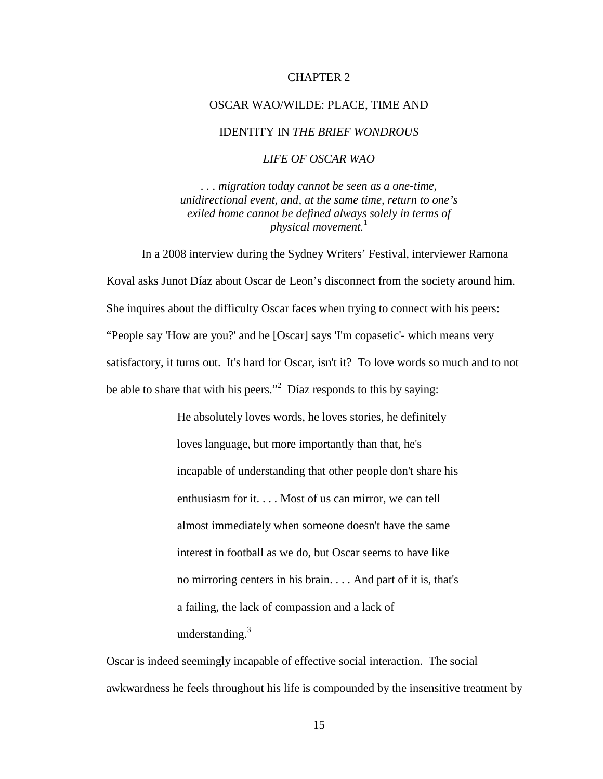#### CHAPTER 2

#### OSCAR WAO/WILDE: PLACE, TIME AND

#### IDENTITY IN *THE BRIEF WONDROUS*

*LIFE OF OSCAR WAO*

*. . . migration today cannot be seen as a one-time, unidirectional event, and, at the same time, return to one's exiled home cannot be defined always solely in terms of physical movement.*<sup>1</sup>

In a 2008 interview during the Sydney Writers' Festival, interviewer Ramona Koval asks Junot Díaz about Oscar de Leon's disconnect from the society around him. She inquires about the difficulty Oscar faces when trying to connect with his peers: "People say 'How are you?' and he [Oscar] says 'I'm copasetic'- which means very satisfactory, it turns out. It's hard for Oscar, isn't it? To love words so much and to not be able to share that with his peers."<sup>2</sup> Díaz responds to this by saying:

> He absolutely loves words, he loves stories, he definitely loves language, but more importantly than that, he's incapable of understanding that other people don't share his enthusiasm for it. . . . Most of us can mirror, we can tell almost immediately when someone doesn't have the same interest in football as we do, but Oscar seems to have like no mirroring centers in his brain. . . . And part of it is, that's a failing, the lack of compassion and a lack of understanding.<sup>3</sup>

Oscar is indeed seemingly incapable of effective social interaction. The social awkwardness he feels throughout his life is compounded by the insensitive treatment by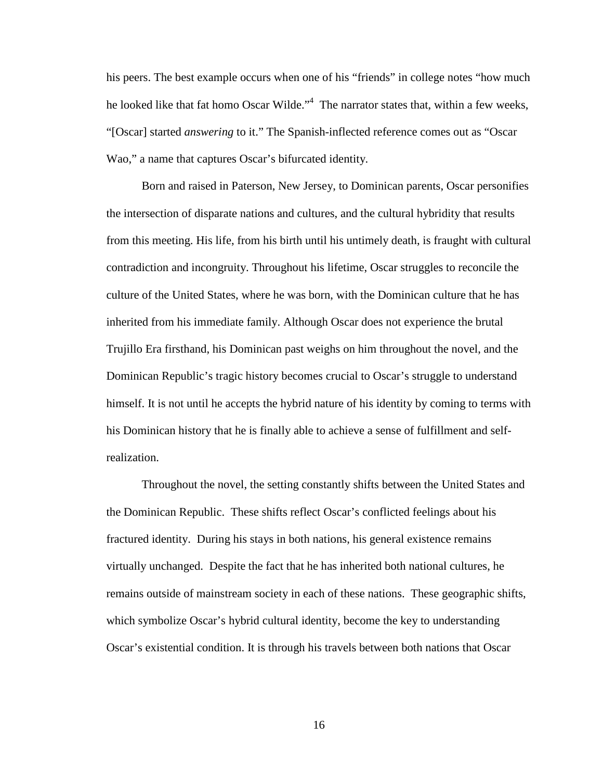his peers. The best example occurs when one of his "friends" in college notes "how much he looked like that fat homo Oscar Wilde."<sup>4</sup> The narrator states that, within a few weeks, "[Oscar] started *answering* to it." The Spanish-inflected reference comes out as "Oscar Wao," a name that captures Oscar's bifurcated identity.

Born and raised in Paterson, New Jersey, to Dominican parents, Oscar personifies the intersection of disparate nations and cultures, and the cultural hybridity that results from this meeting. His life, from his birth until his untimely death, is fraught with cultural contradiction and incongruity. Throughout his lifetime, Oscar struggles to reconcile the culture of the United States, where he was born, with the Dominican culture that he has inherited from his immediate family. Although Oscar does not experience the brutal Trujillo Era firsthand, his Dominican past weighs on him throughout the novel, and the Dominican Republic's tragic history becomes crucial to Oscar's struggle to understand himself. It is not until he accepts the hybrid nature of his identity by coming to terms with his Dominican history that he is finally able to achieve a sense of fulfillment and selfrealization.

Throughout the novel, the setting constantly shifts between the United States and the Dominican Republic. These shifts reflect Oscar's conflicted feelings about his fractured identity. During his stays in both nations, his general existence remains virtually unchanged. Despite the fact that he has inherited both national cultures, he remains outside of mainstream society in each of these nations. These geographic shifts, which symbolize Oscar's hybrid cultural identity, become the key to understanding Oscar's existential condition. It is through his travels between both nations that Oscar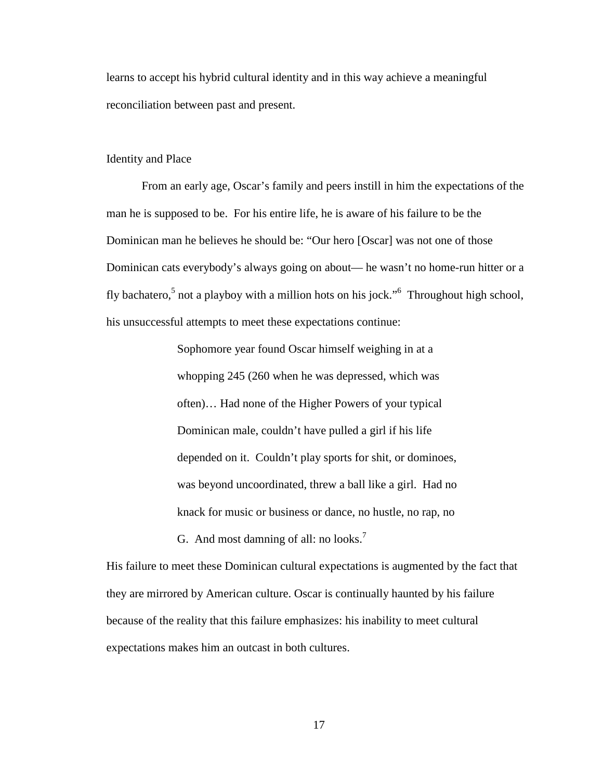learns to accept his hybrid cultural identity and in this way achieve a meaningful reconciliation between past and present.

#### Identity and Place

From an early age, Oscar's family and peers instill in him the expectations of the man he is supposed to be. For his entire life, he is aware of his failure to be the Dominican man he believes he should be: "Our hero [Oscar] was not one of those Dominican cats everybody's always going on about— he wasn't no home-run hitter or a fly bachatero,<sup>5</sup> not a playboy with a million hots on his jock."<sup>6</sup> Throughout high school, his unsuccessful attempts to meet these expectations continue:

> Sophomore year found Oscar himself weighing in at a whopping 245 (260 when he was depressed, which was often)… Had none of the Higher Powers of your typical Dominican male, couldn't have pulled a girl if his life depended on it. Couldn't play sports for shit, or dominoes, was beyond uncoordinated, threw a ball like a girl. Had no knack for music or business or dance, no hustle, no rap, no G. And most damning of all: no looks.<sup>7</sup>

His failure to meet these Dominican cultural expectations is augmented by the fact that they are mirrored by American culture. Oscar is continually haunted by his failure because of the reality that this failure emphasizes: his inability to meet cultural expectations makes him an outcast in both cultures.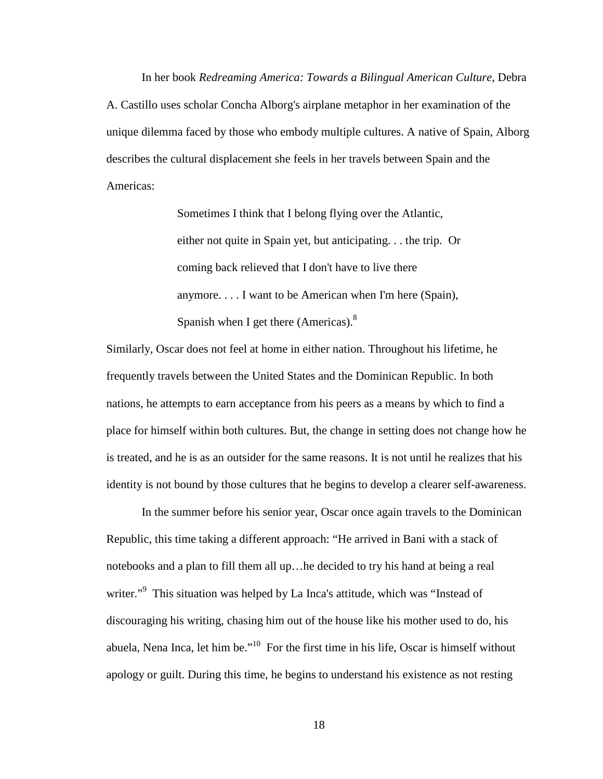In her book *Redreaming America: Towards a Bilingual American Culture*, Debra A. Castillo uses scholar Concha Alborg's airplane metaphor in her examination of the unique dilemma faced by those who embody multiple cultures. A native of Spain, Alborg describes the cultural displacement she feels in her travels between Spain and the Americas:

> Sometimes I think that I belong flying over the Atlantic, either not quite in Spain yet, but anticipating. . . the trip. Or coming back relieved that I don't have to live there anymore. . . . I want to be American when I'm here (Spain), Spanish when I get there (Americas). $8<sup>8</sup>$

Similarly, Oscar does not feel at home in either nation. Throughout his lifetime, he frequently travels between the United States and the Dominican Republic. In both nations, he attempts to earn acceptance from his peers as a means by which to find a place for himself within both cultures. But, the change in setting does not change how he is treated, and he is as an outsider for the same reasons. It is not until he realizes that his identity is not bound by those cultures that he begins to develop a clearer self-awareness.

In the summer before his senior year, Oscar once again travels to the Dominican Republic, this time taking a different approach: "He arrived in Bani with a stack of notebooks and a plan to fill them all up…he decided to try his hand at being a real writer."<sup>9</sup> This situation was helped by La Inca's attitude, which was "Instead of discouraging his writing, chasing him out of the house like his mother used to do, his abuela, Nena Inca, let him be."<sup>10</sup> For the first time in his life, Oscar is himself without apology or guilt. During this time, he begins to understand his existence as not resting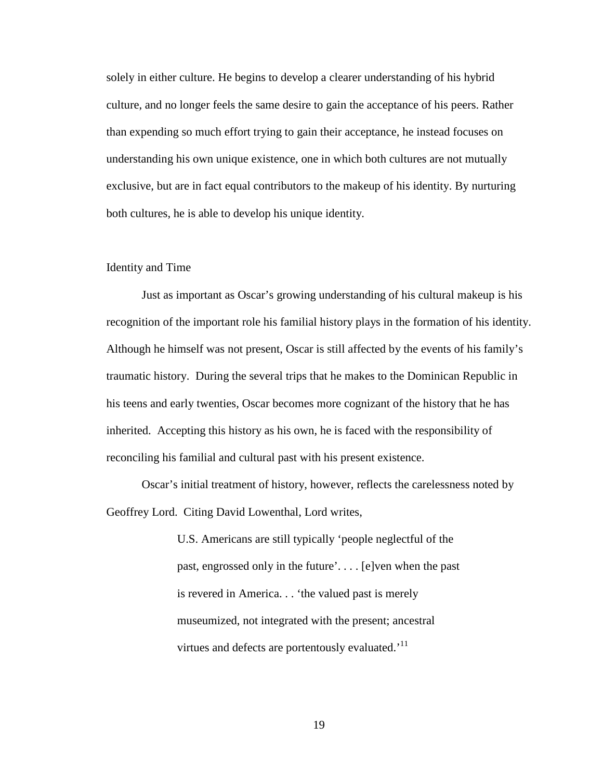solely in either culture. He begins to develop a clearer understanding of his hybrid culture, and no longer feels the same desire to gain the acceptance of his peers. Rather than expending so much effort trying to gain their acceptance, he instead focuses on understanding his own unique existence, one in which both cultures are not mutually exclusive, but are in fact equal contributors to the makeup of his identity. By nurturing both cultures, he is able to develop his unique identity.

#### Identity and Time

Just as important as Oscar's growing understanding of his cultural makeup is his recognition of the important role his familial history plays in the formation of his identity. Although he himself was not present, Oscar is still affected by the events of his family's traumatic history. During the several trips that he makes to the Dominican Republic in his teens and early twenties, Oscar becomes more cognizant of the history that he has inherited. Accepting this history as his own, he is faced with the responsibility of reconciling his familial and cultural past with his present existence.

Oscar's initial treatment of history, however, reflects the carelessness noted by Geoffrey Lord. Citing David Lowenthal, Lord writes,

> U.S. Americans are still typically 'people neglectful of the past, engrossed only in the future'. . . . [e]ven when the past is revered in America. . . 'the valued past is merely museumized, not integrated with the present; ancestral virtues and defects are portentously evaluated.<sup>'11</sup>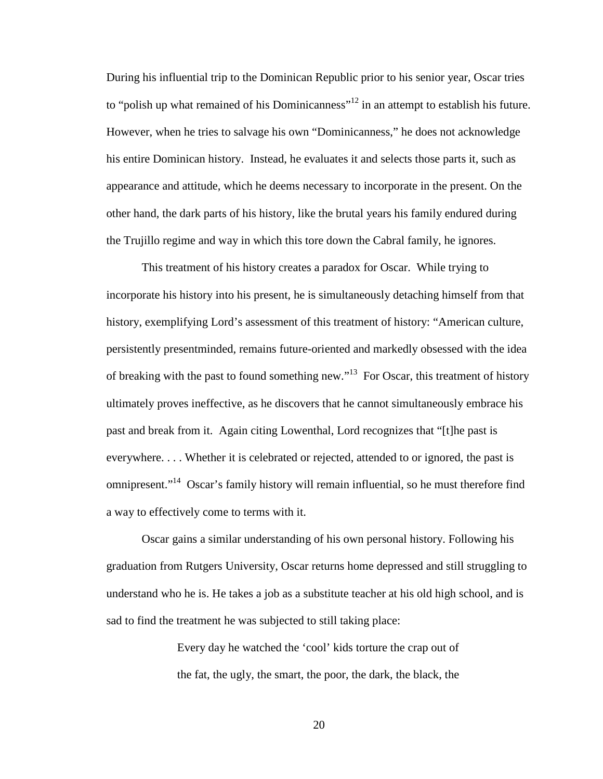During his influential trip to the Dominican Republic prior to his senior year, Oscar tries to "polish up what remained of his Dominicanness"<sup>12</sup> in an attempt to establish his future. However, when he tries to salvage his own "Dominicanness," he does not acknowledge his entire Dominican history. Instead, he evaluates it and selects those parts it, such as appearance and attitude, which he deems necessary to incorporate in the present. On the other hand, the dark parts of his history, like the brutal years his family endured during the Trujillo regime and way in which this tore down the Cabral family, he ignores.

This treatment of his history creates a paradox for Oscar. While trying to incorporate his history into his present, he is simultaneously detaching himself from that history, exemplifying Lord's assessment of this treatment of history: "American culture, persistently presentminded, remains future-oriented and markedly obsessed with the idea of breaking with the past to found something new."<sup>13</sup> For Oscar, this treatment of history ultimately proves ineffective, as he discovers that he cannot simultaneously embrace his past and break from it. Again citing Lowenthal, Lord recognizes that "[t]he past is everywhere. . . . Whether it is celebrated or rejected, attended to or ignored, the past is omnipresent."<sup>14</sup> Oscar's family history will remain influential, so he must therefore find a way to effectively come to terms with it.

Oscar gains a similar understanding of his own personal history. Following his graduation from Rutgers University, Oscar returns home depressed and still struggling to understand who he is. He takes a job as a substitute teacher at his old high school, and is sad to find the treatment he was subjected to still taking place:

> Every day he watched the 'cool' kids torture the crap out of the fat, the ugly, the smart, the poor, the dark, the black, the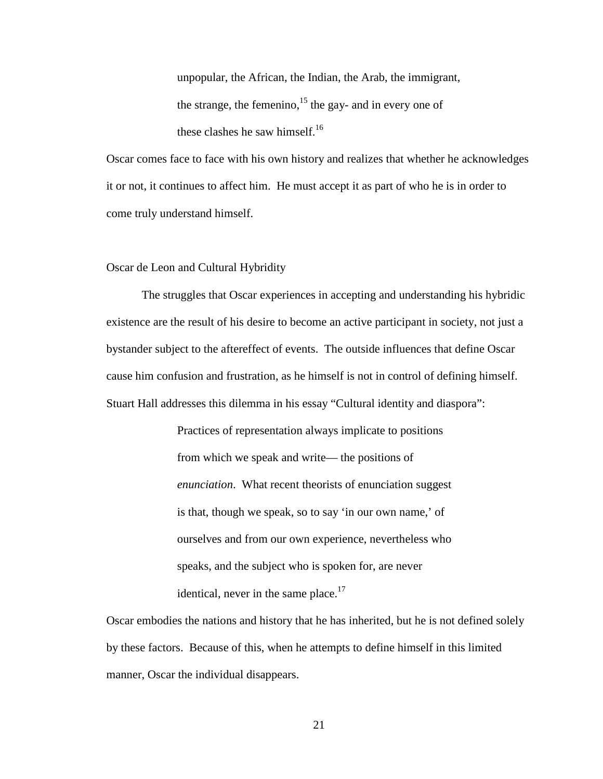unpopular, the African, the Indian, the Arab, the immigrant, the strange, the femenino,<sup>15</sup> the gay- and in every one of these clashes he saw himself. $16<sup>16</sup>$ 

Oscar comes face to face with his own history and realizes that whether he acknowledges it or not, it continues to affect him. He must accept it as part of who he is in order to come truly understand himself.

#### Oscar de Leon and Cultural Hybridity

The struggles that Oscar experiences in accepting and understanding his hybridic existence are the result of his desire to become an active participant in society, not just a bystander subject to the aftereffect of events. The outside influences that define Oscar cause him confusion and frustration, as he himself is not in control of defining himself. Stuart Hall addresses this dilemma in his essay "Cultural identity and diaspora":

> Practices of representation always implicate to positions from which we speak and write— the positions of *enunciation*. What recent theorists of enunciation suggest is that, though we speak, so to say 'in our own name,' of ourselves and from our own experience, nevertheless who speaks, and the subject who is spoken for, are never identical, never in the same place. $17$

Oscar embodies the nations and history that he has inherited, but he is not defined solely by these factors. Because of this, when he attempts to define himself in this limited manner, Oscar the individual disappears.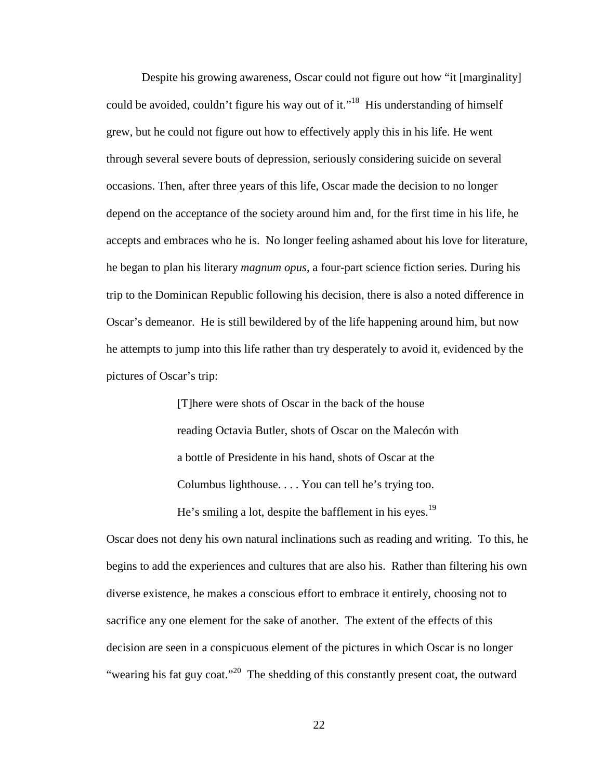Despite his growing awareness, Oscar could not figure out how "it [marginality] could be avoided, couldn't figure his way out of it."<sup>18</sup> His understanding of himself grew, but he could not figure out how to effectively apply this in his life. He went through several severe bouts of depression, seriously considering suicide on several occasions. Then, after three years of this life, Oscar made the decision to no longer depend on the acceptance of the society around him and, for the first time in his life, he accepts and embraces who he is. No longer feeling ashamed about his love for literature, he began to plan his literary *magnum opus*, a four-part science fiction series. During his trip to the Dominican Republic following his decision, there is also a noted difference in Oscar's demeanor. He is still bewildered by of the life happening around him, but now he attempts to jump into this life rather than try desperately to avoid it, evidenced by the pictures of Oscar's trip:

> [T]here were shots of Oscar in the back of the house reading Octavia Butler, shots of Oscar on the Malecón with a bottle of Presidente in his hand, shots of Oscar at the Columbus lighthouse. . . . You can tell he's trying too. He's smiling a lot, despite the bafflement in his eyes.<sup>19</sup>

Oscar does not deny his own natural inclinations such as reading and writing. To this, he begins to add the experiences and cultures that are also his. Rather than filtering his own diverse existence, he makes a conscious effort to embrace it entirely, choosing not to sacrifice any one element for the sake of another. The extent of the effects of this decision are seen in a conspicuous element of the pictures in which Oscar is no longer "wearing his fat guy coat."<sup>20</sup> The shedding of this constantly present coat, the outward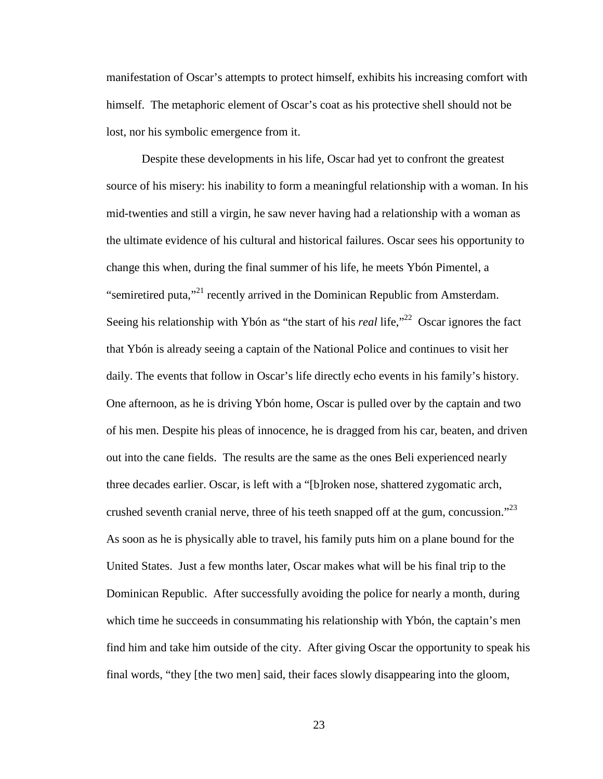manifestation of Oscar's attempts to protect himself, exhibits his increasing comfort with himself. The metaphoric element of Oscar's coat as his protective shell should not be lost, nor his symbolic emergence from it.

Despite these developments in his life, Oscar had yet to confront the greatest source of his misery: his inability to form a meaningful relationship with a woman. In his mid-twenties and still a virgin, he saw never having had a relationship with a woman as the ultimate evidence of his cultural and historical failures. Oscar sees his opportunity to change this when, during the final summer of his life, he meets Ybón Pimentel, a "semiretired puta,"<sup>21</sup> recently arrived in the Dominican Republic from Amsterdam. Seeing his relationship with Ybón as "the start of his *real* life,"<sup>22</sup> Oscar ignores the fact that Ybón is already seeing a captain of the National Police and continues to visit her daily. The events that follow in Oscar's life directly echo events in his family's history. One afternoon, as he is driving Ybón home, Oscar is pulled over by the captain and two of his men. Despite his pleas of innocence, he is dragged from his car, beaten, and driven out into the cane fields. The results are the same as the ones Beli experienced nearly three decades earlier. Oscar, is left with a "[b]roken nose, shattered zygomatic arch, crushed seventh cranial nerve, three of his teeth snapped off at the gum, concussion."<sup>23</sup> As soon as he is physically able to travel, his family puts him on a plane bound for the United States. Just a few months later, Oscar makes what will be his final trip to the Dominican Republic. After successfully avoiding the police for nearly a month, during which time he succeeds in consummating his relationship with Ybón, the captain's men find him and take him outside of the city. After giving Oscar the opportunity to speak his final words, "they [the two men] said, their faces slowly disappearing into the gloom,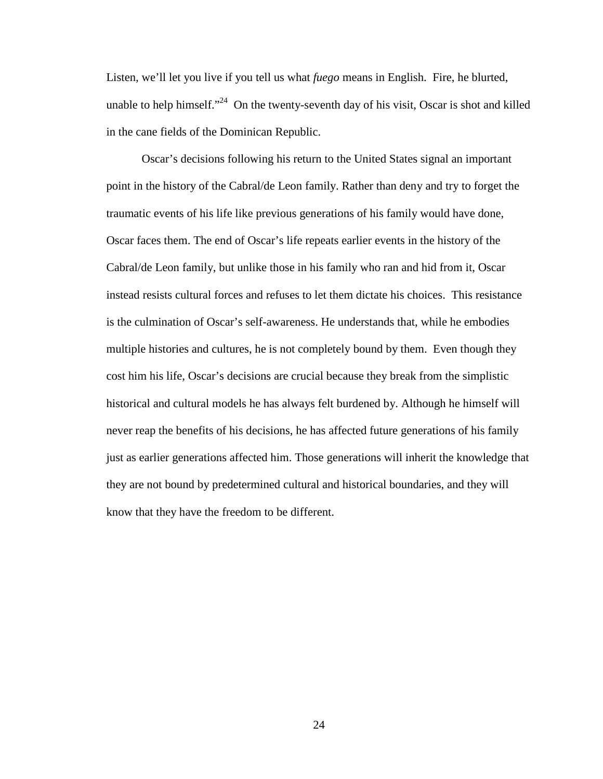Listen, we'll let you live if you tell us what *fuego* means in English. Fire, he blurted, unable to help himself."<sup>24</sup> On the twenty-seventh day of his visit, Oscar is shot and killed in the cane fields of the Dominican Republic.

Oscar's decisions following his return to the United States signal an important point in the history of the Cabral/de Leon family. Rather than deny and try to forget the traumatic events of his life like previous generations of his family would have done, Oscar faces them. The end of Oscar's life repeats earlier events in the history of the Cabral/de Leon family, but unlike those in his family who ran and hid from it, Oscar instead resists cultural forces and refuses to let them dictate his choices. This resistance is the culmination of Oscar's self-awareness. He understands that, while he embodies multiple histories and cultures, he is not completely bound by them. Even though they cost him his life, Oscar's decisions are crucial because they break from the simplistic historical and cultural models he has always felt burdened by. Although he himself will never reap the benefits of his decisions, he has affected future generations of his family just as earlier generations affected him. Those generations will inherit the knowledge that they are not bound by predetermined cultural and historical boundaries, and they will know that they have the freedom to be different.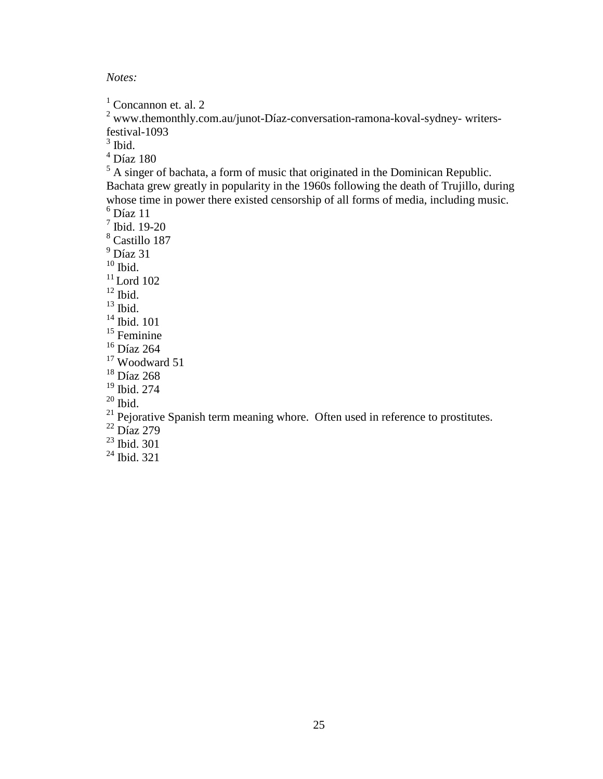*Notes:*

<sup>1</sup> Concannon et. al. 2

 www.themonthly.com.au/junot-Díaz-conversation-ramona-koval-sydney- writersfestival-1093

Ibid.

Díaz 180

 $<sup>5</sup>$  A singer of bachata, a form of music that originated in the Dominican Republic.</sup> Bachata grew greatly in popularity in the 1960s following the death of Trujillo, during whose time in power there existed censorship of all forms of media, including music.  $<sup>6</sup>$  Díaz 11</sup>

 $<sup>7</sup>$  Ibid. 19-20</sup>

Castillo 187

Díaz 31

Ibid.

Lord 102

Ibid.

Ibid.

<sup>14</sup> Ibid. 101

<sup>15</sup> Feminine

Díaz 264

Woodward 51

Díaz 268

Ibid. 274

Ibid.

Pejorative Spanish term meaning whore. Often used in reference to prostitutes.

Díaz 279

Ibid. 301

Ibid. 321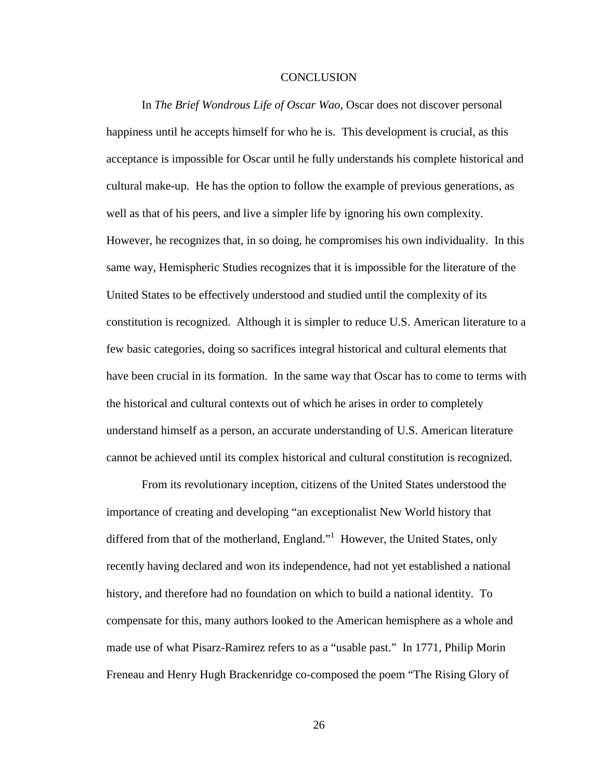#### **CONCLUSION**

 In *The Brief Wondrous Life of Oscar Wao*, Oscar does not discover personal happiness until he accepts himself for who he is. This development is crucial, as this acceptance is impossible for Oscar until he fully understands his complete historical and cultural make-up. He has the option to follow the example of previous generations, as well as that of his peers, and live a simpler life by ignoring his own complexity. However, he recognizes that, in so doing, he compromises his own individuality. In this same way, Hemispheric Studies recognizes that it is impossible for the literature of the United States to be effectively understood and studied until the complexity of its constitution is recognized. Although it is simpler to reduce U.S. American literature to a few basic categories, doing so sacrifices integral historical and cultural elements that have been crucial in its formation. In the same way that Oscar has to come to terms with the historical and cultural contexts out of which he arises in order to completely understand himself as a person, an accurate understanding of U.S. American literature cannot be achieved until its complex historical and cultural constitution is recognized.

 From its revolutionary inception, citizens of the United States understood the importance of creating and developing "an exceptionalist New World history that differed from that of the motherland, England."<sup>1</sup> However, the United States, only recently having declared and won its independence, had not yet established a national history, and therefore had no foundation on which to build a national identity. To compensate for this, many authors looked to the American hemisphere as a whole and made use of what Pisarz-Ramirez refers to as a "usable past." In 1771, Philip Morin Freneau and Henry Hugh Brackenridge co-composed the poem "The Rising Glory of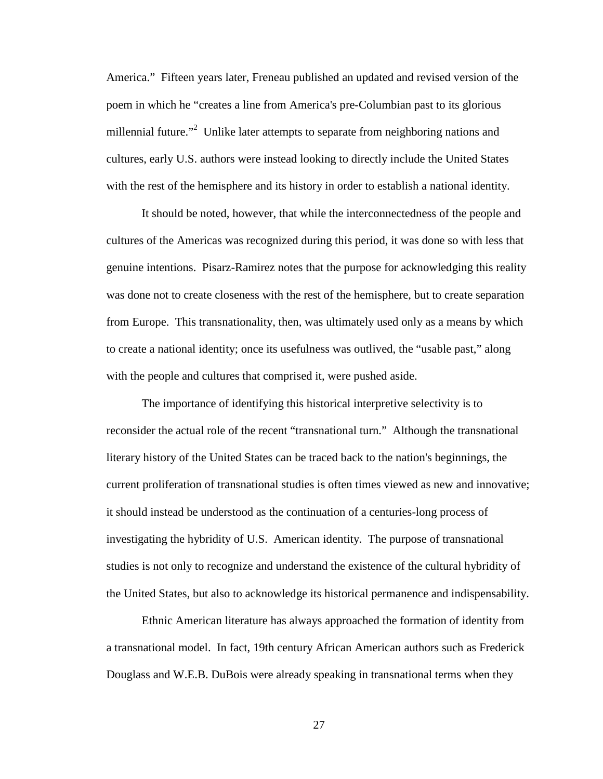America." Fifteen years later, Freneau published an updated and revised version of the poem in which he "creates a line from America's pre-Columbian past to its glorious millennial future."<sup>2</sup> Unlike later attempts to separate from neighboring nations and cultures, early U.S. authors were instead looking to directly include the United States with the rest of the hemisphere and its history in order to establish a national identity.

 It should be noted, however, that while the interconnectedness of the people and cultures of the Americas was recognized during this period, it was done so with less that genuine intentions. Pisarz-Ramirez notes that the purpose for acknowledging this reality was done not to create closeness with the rest of the hemisphere, but to create separation from Europe. This transnationality, then, was ultimately used only as a means by which to create a national identity; once its usefulness was outlived, the "usable past," along with the people and cultures that comprised it, were pushed aside.

 The importance of identifying this historical interpretive selectivity is to reconsider the actual role of the recent "transnational turn." Although the transnational literary history of the United States can be traced back to the nation's beginnings, the current proliferation of transnational studies is often times viewed as new and innovative; it should instead be understood as the continuation of a centuries-long process of investigating the hybridity of U.S. American identity. The purpose of transnational studies is not only to recognize and understand the existence of the cultural hybridity of the United States, but also to acknowledge its historical permanence and indispensability.

Ethnic American literature has always approached the formation of identity from a transnational model. In fact, 19th century African American authors such as Frederick Douglass and W.E.B. DuBois were already speaking in transnational terms when they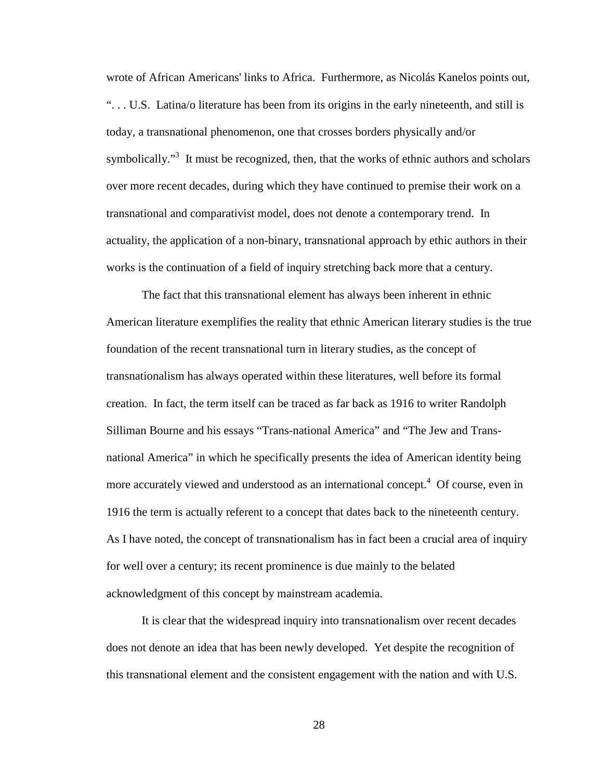wrote of African Americans' links to Africa. Furthermore, as Nicolás Kanelos points out, ". . . U.S. Latina/o literature has been from its origins in the early nineteenth, and still is today, a transnational phenomenon, one that crosses borders physically and/or symbolically."<sup>3</sup> It must be recognized, then, that the works of ethnic authors and scholars over more recent decades, during which they have continued to premise their work on a transnational and comparativist model, does not denote a contemporary trend. In actuality, the application of a non-binary, transnational approach by ethic authors in their works is the continuation of a field of inquiry stretching back more that a century.

The fact that this transnational element has always been inherent in ethnic American literature exemplifies the reality that ethnic American literary studies is the true foundation of the recent transnational turn in literary studies, as the concept of transnationalism has always operated within these literatures, well before its formal creation. In fact, the term itself can be traced as far back as 1916 to writer Randolph Silliman Bourne and his essays "Trans-national America" and "The Jew and Transnational America" in which he specifically presents the idea of American identity being more accurately viewed and understood as an international concept.<sup>4</sup> Of course, even in 1916 the term is actually referent to a concept that dates back to the nineteenth century. As I have noted, the concept of transnationalism has in fact been a crucial area of inquiry for well over a century; its recent prominence is due mainly to the belated acknowledgment of this concept by mainstream academia.

It is clear that the widespread inquiry into transnationalism over recent decades does not denote an idea that has been newly developed. Yet despite the recognition of this transnational element and the consistent engagement with the nation and with U.S.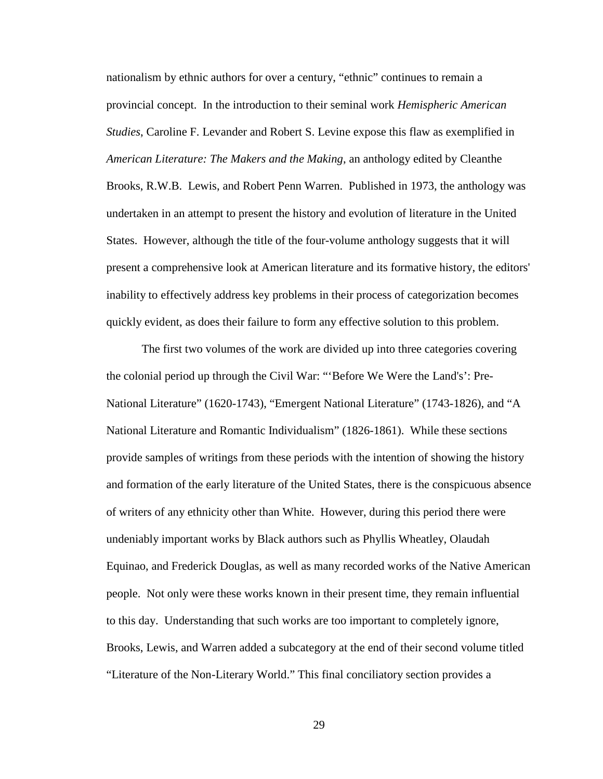nationalism by ethnic authors for over a century, "ethnic" continues to remain a provincial concept. In the introduction to their seminal work *Hemispheric American Studies*, Caroline F. Levander and Robert S. Levine expose this flaw as exemplified in *American Literature: The Makers and the Making*, an anthology edited by Cleanthe Brooks, R.W.B. Lewis, and Robert Penn Warren. Published in 1973, the anthology was undertaken in an attempt to present the history and evolution of literature in the United States. However, although the title of the four-volume anthology suggests that it will present a comprehensive look at American literature and its formative history, the editors' inability to effectively address key problems in their process of categorization becomes quickly evident, as does their failure to form any effective solution to this problem.

 The first two volumes of the work are divided up into three categories covering the colonial period up through the Civil War: "'Before We Were the Land's': Pre-National Literature" (1620-1743), "Emergent National Literature" (1743-1826), and "A National Literature and Romantic Individualism" (1826-1861). While these sections provide samples of writings from these periods with the intention of showing the history and formation of the early literature of the United States, there is the conspicuous absence of writers of any ethnicity other than White. However, during this period there were undeniably important works by Black authors such as Phyllis Wheatley, Olaudah Equinao, and Frederick Douglas, as well as many recorded works of the Native American people. Not only were these works known in their present time, they remain influential to this day. Understanding that such works are too important to completely ignore, Brooks, Lewis, and Warren added a subcategory at the end of their second volume titled "Literature of the Non-Literary World." This final conciliatory section provides a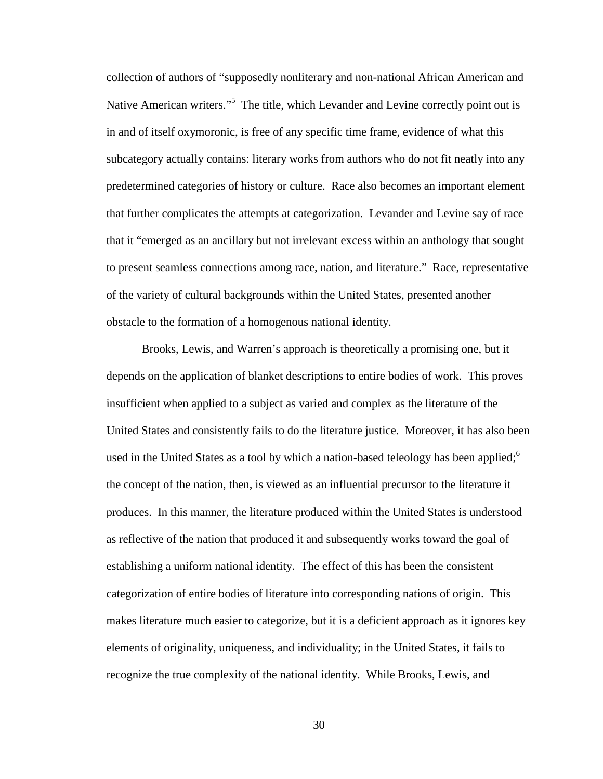collection of authors of "supposedly nonliterary and non-national African American and Native American writers."<sup>5</sup> The title, which Levander and Levine correctly point out is in and of itself oxymoronic, is free of any specific time frame, evidence of what this subcategory actually contains: literary works from authors who do not fit neatly into any predetermined categories of history or culture. Race also becomes an important element that further complicates the attempts at categorization. Levander and Levine say of race that it "emerged as an ancillary but not irrelevant excess within an anthology that sought to present seamless connections among race, nation, and literature." Race, representative of the variety of cultural backgrounds within the United States, presented another obstacle to the formation of a homogenous national identity.

 Brooks, Lewis, and Warren's approach is theoretically a promising one, but it depends on the application of blanket descriptions to entire bodies of work. This proves insufficient when applied to a subject as varied and complex as the literature of the United States and consistently fails to do the literature justice. Moreover, it has also been used in the United States as a tool by which a nation-based teleology has been applied;<sup>6</sup> the concept of the nation, then, is viewed as an influential precursor to the literature it produces. In this manner, the literature produced within the United States is understood as reflective of the nation that produced it and subsequently works toward the goal of establishing a uniform national identity. The effect of this has been the consistent categorization of entire bodies of literature into corresponding nations of origin. This makes literature much easier to categorize, but it is a deficient approach as it ignores key elements of originality, uniqueness, and individuality; in the United States, it fails to recognize the true complexity of the national identity. While Brooks, Lewis, and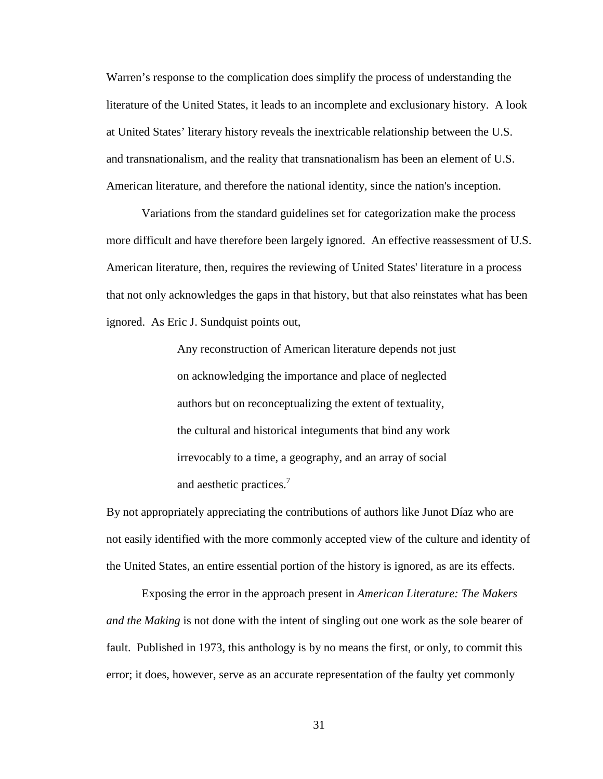Warren's response to the complication does simplify the process of understanding the literature of the United States, it leads to an incomplete and exclusionary history. A look at United States' literary history reveals the inextricable relationship between the U.S. and transnationalism, and the reality that transnationalism has been an element of U.S. American literature, and therefore the national identity, since the nation's inception.

Variations from the standard guidelines set for categorization make the process more difficult and have therefore been largely ignored. An effective reassessment of U.S. American literature, then, requires the reviewing of United States' literature in a process that not only acknowledges the gaps in that history, but that also reinstates what has been ignored. As Eric J. Sundquist points out,

> Any reconstruction of American literature depends not just on acknowledging the importance and place of neglected authors but on reconceptualizing the extent of textuality, the cultural and historical integuments that bind any work irrevocably to a time, a geography, and an array of social and aesthetic practices.<sup>7</sup>

By not appropriately appreciating the contributions of authors like Junot Díaz who are not easily identified with the more commonly accepted view of the culture and identity of the United States, an entire essential portion of the history is ignored, as are its effects.

 Exposing the error in the approach present in *American Literature: The Makers and the Making* is not done with the intent of singling out one work as the sole bearer of fault. Published in 1973, this anthology is by no means the first, or only, to commit this error; it does, however, serve as an accurate representation of the faulty yet commonly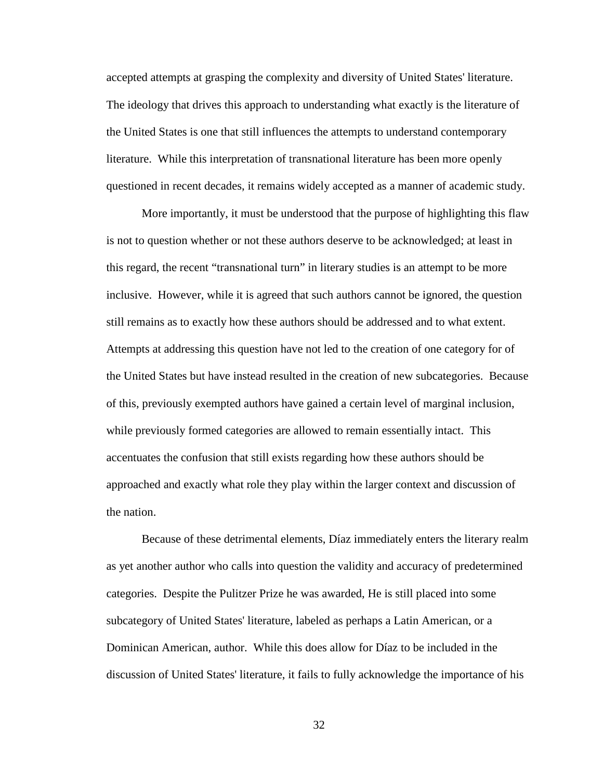accepted attempts at grasping the complexity and diversity of United States' literature. The ideology that drives this approach to understanding what exactly is the literature of the United States is one that still influences the attempts to understand contemporary literature. While this interpretation of transnational literature has been more openly questioned in recent decades, it remains widely accepted as a manner of academic study.

 More importantly, it must be understood that the purpose of highlighting this flaw is not to question whether or not these authors deserve to be acknowledged; at least in this regard, the recent "transnational turn" in literary studies is an attempt to be more inclusive. However, while it is agreed that such authors cannot be ignored, the question still remains as to exactly how these authors should be addressed and to what extent. Attempts at addressing this question have not led to the creation of one category for of the United States but have instead resulted in the creation of new subcategories. Because of this, previously exempted authors have gained a certain level of marginal inclusion, while previously formed categories are allowed to remain essentially intact. This accentuates the confusion that still exists regarding how these authors should be approached and exactly what role they play within the larger context and discussion of the nation.

Because of these detrimental elements, Díaz immediately enters the literary realm as yet another author who calls into question the validity and accuracy of predetermined categories. Despite the Pulitzer Prize he was awarded, He is still placed into some subcategory of United States' literature, labeled as perhaps a Latin American, or a Dominican American, author. While this does allow for Díaz to be included in the discussion of United States' literature, it fails to fully acknowledge the importance of his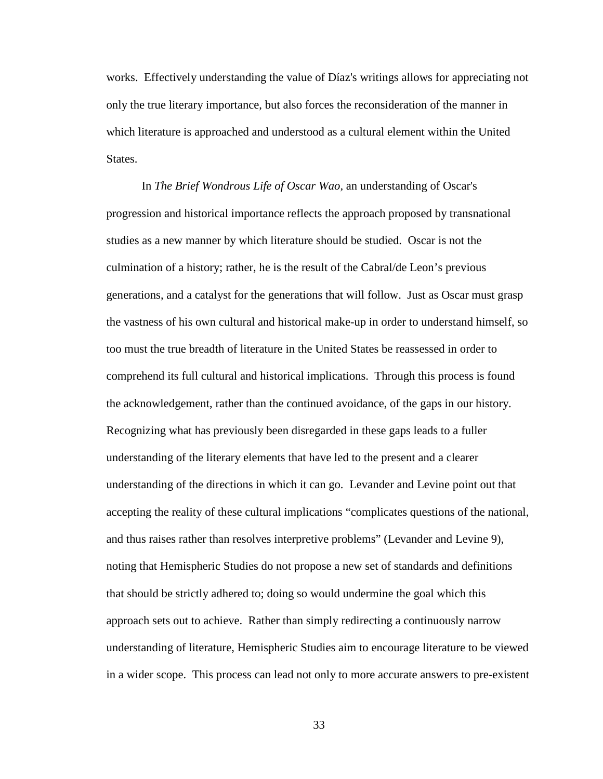works. Effectively understanding the value of Díaz's writings allows for appreciating not only the true literary importance, but also forces the reconsideration of the manner in which literature is approached and understood as a cultural element within the United States.

In *The Brief Wondrous Life of Oscar Wao,* an understanding of Oscar's progression and historical importance reflects the approach proposed by transnational studies as a new manner by which literature should be studied. Oscar is not the culmination of a history; rather, he is the result of the Cabral/de Leon's previous generations, and a catalyst for the generations that will follow. Just as Oscar must grasp the vastness of his own cultural and historical make-up in order to understand himself, so too must the true breadth of literature in the United States be reassessed in order to comprehend its full cultural and historical implications. Through this process is found the acknowledgement, rather than the continued avoidance, of the gaps in our history. Recognizing what has previously been disregarded in these gaps leads to a fuller understanding of the literary elements that have led to the present and a clearer understanding of the directions in which it can go. Levander and Levine point out that accepting the reality of these cultural implications "complicates questions of the national, and thus raises rather than resolves interpretive problems" (Levander and Levine 9), noting that Hemispheric Studies do not propose a new set of standards and definitions that should be strictly adhered to; doing so would undermine the goal which this approach sets out to achieve. Rather than simply redirecting a continuously narrow understanding of literature, Hemispheric Studies aim to encourage literature to be viewed in a wider scope. This process can lead not only to more accurate answers to pre-existent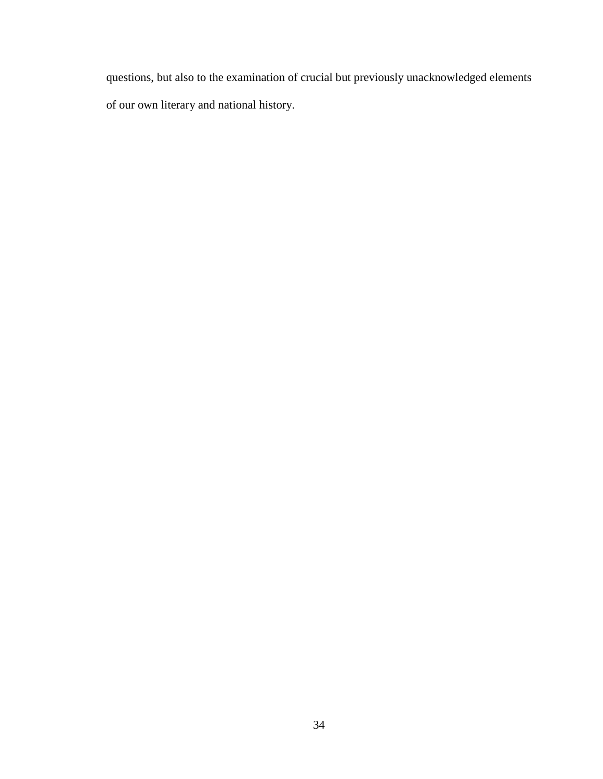questions, but also to the examination of crucial but previously unacknowledged elements of our own literary and national history.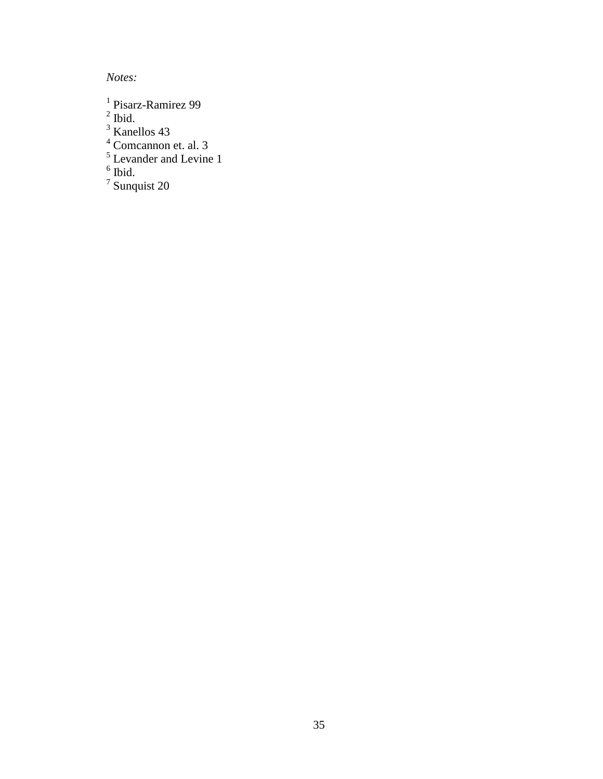*Notes:*

<sup>1</sup> Pisarz-Ramirez 99<br>
<sup>2</sup> Ibid.<br>
<sup>3</sup> Kanellos 43<br>
<sup>4</sup> Comcannon et. al. 3<br>
<sup>5</sup> Levander and Levine 1<br>
<sup>6</sup> Ibid.<br>
<sup>7</sup> Sunquist 20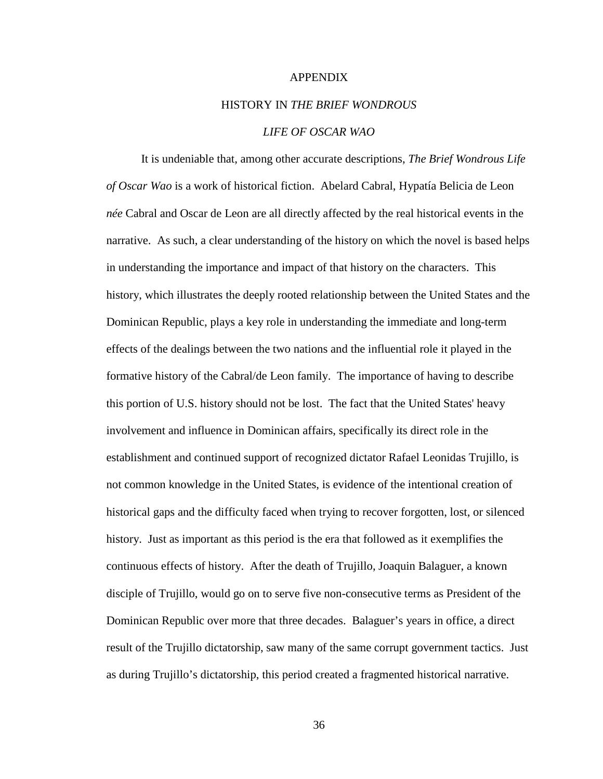#### APPENDIX

#### HISTORY IN *THE BRIEF WONDROUS*

#### *LIFE OF OSCAR WAO*

It is undeniable that, among other accurate descriptions, *The Brief Wondrous Life of Oscar Wao* is a work of historical fiction. Abelard Cabral, Hypatía Belicia de Leon *née* Cabral and Oscar de Leon are all directly affected by the real historical events in the narrative. As such, a clear understanding of the history on which the novel is based helps in understanding the importance and impact of that history on the characters. This history, which illustrates the deeply rooted relationship between the United States and the Dominican Republic, plays a key role in understanding the immediate and long-term effects of the dealings between the two nations and the influential role it played in the formative history of the Cabral/de Leon family. The importance of having to describe this portion of U.S. history should not be lost. The fact that the United States' heavy involvement and influence in Dominican affairs, specifically its direct role in the establishment and continued support of recognized dictator Rafael Leonidas Trujillo, is not common knowledge in the United States, is evidence of the intentional creation of historical gaps and the difficulty faced when trying to recover forgotten, lost, or silenced history. Just as important as this period is the era that followed as it exemplifies the continuous effects of history. After the death of Trujillo, Joaquin Balaguer, a known disciple of Trujillo, would go on to serve five non-consecutive terms as President of the Dominican Republic over more that three decades. Balaguer's years in office, a direct result of the Trujillo dictatorship, saw many of the same corrupt government tactics. Just as during Trujillo's dictatorship, this period created a fragmented historical narrative.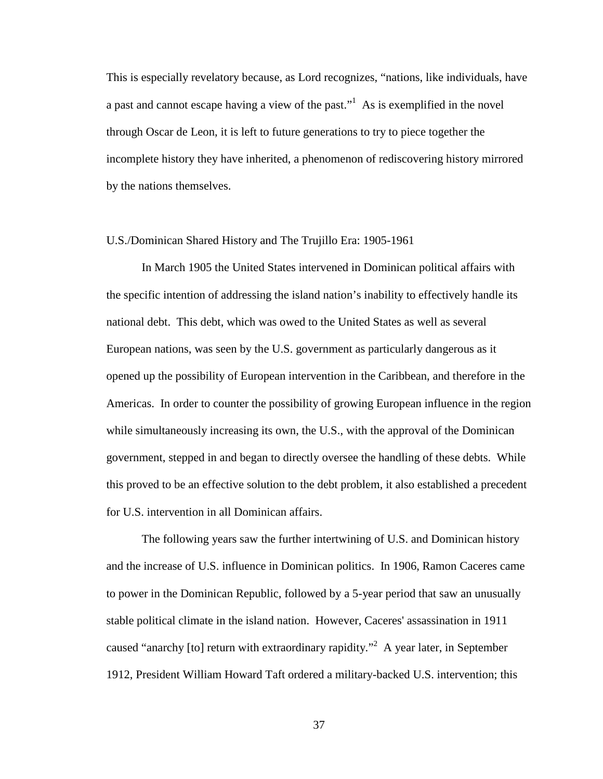This is especially revelatory because, as Lord recognizes, "nations, like individuals, have a past and cannot escape having a view of the past."<sup>1</sup> As is exemplified in the novel through Oscar de Leon, it is left to future generations to try to piece together the incomplete history they have inherited, a phenomenon of rediscovering history mirrored by the nations themselves.

#### U.S./Dominican Shared History and The Trujillo Era: 1905-1961

 In March 1905 the United States intervened in Dominican political affairs with the specific intention of addressing the island nation's inability to effectively handle its national debt. This debt, which was owed to the United States as well as several European nations, was seen by the U.S. government as particularly dangerous as it opened up the possibility of European intervention in the Caribbean, and therefore in the Americas. In order to counter the possibility of growing European influence in the region while simultaneously increasing its own, the U.S., with the approval of the Dominican government, stepped in and began to directly oversee the handling of these debts. While this proved to be an effective solution to the debt problem, it also established a precedent for U.S. intervention in all Dominican affairs.

 The following years saw the further intertwining of U.S. and Dominican history and the increase of U.S. influence in Dominican politics. In 1906, Ramon Caceres came to power in the Dominican Republic, followed by a 5-year period that saw an unusually stable political climate in the island nation. However, Caceres' assassination in 1911 caused "anarchy [to] return with extraordinary rapidity."<sup>2</sup> A year later, in September 1912, President William Howard Taft ordered a military-backed U.S. intervention; this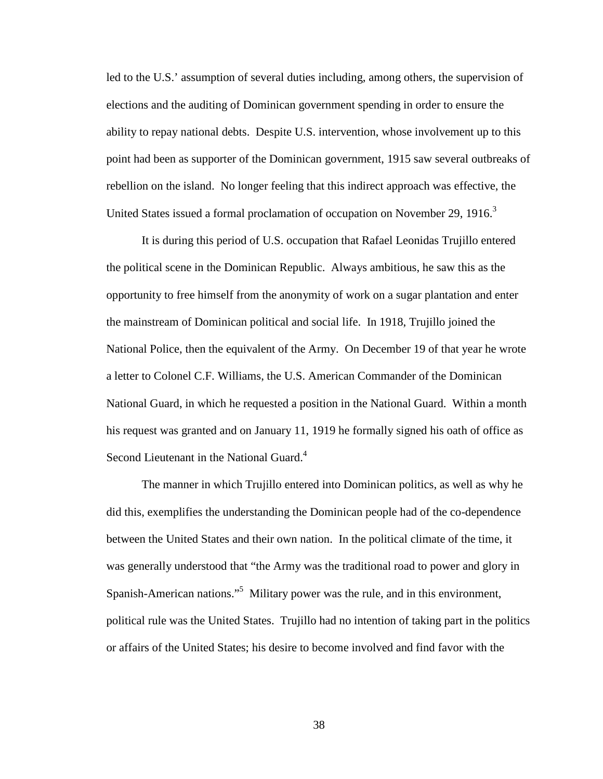led to the U.S.' assumption of several duties including, among others, the supervision of elections and the auditing of Dominican government spending in order to ensure the ability to repay national debts. Despite U.S. intervention, whose involvement up to this point had been as supporter of the Dominican government, 1915 saw several outbreaks of rebellion on the island. No longer feeling that this indirect approach was effective, the United States issued a formal proclamation of occupation on November 29, 1916.<sup>3</sup>

 It is during this period of U.S. occupation that Rafael Leonidas Trujillo entered the political scene in the Dominican Republic. Always ambitious, he saw this as the opportunity to free himself from the anonymity of work on a sugar plantation and enter the mainstream of Dominican political and social life. In 1918, Trujillo joined the National Police, then the equivalent of the Army. On December 19 of that year he wrote a letter to Colonel C.F. Williams, the U.S. American Commander of the Dominican National Guard, in which he requested a position in the National Guard. Within a month his request was granted and on January 11, 1919 he formally signed his oath of office as Second Lieutenant in the National Guard.<sup>4</sup>

 The manner in which Trujillo entered into Dominican politics, as well as why he did this, exemplifies the understanding the Dominican people had of the co-dependence between the United States and their own nation. In the political climate of the time, it was generally understood that "the Army was the traditional road to power and glory in Spanish-American nations."<sup>5</sup> Military power was the rule, and in this environment, political rule was the United States. Trujillo had no intention of taking part in the politics or affairs of the United States; his desire to become involved and find favor with the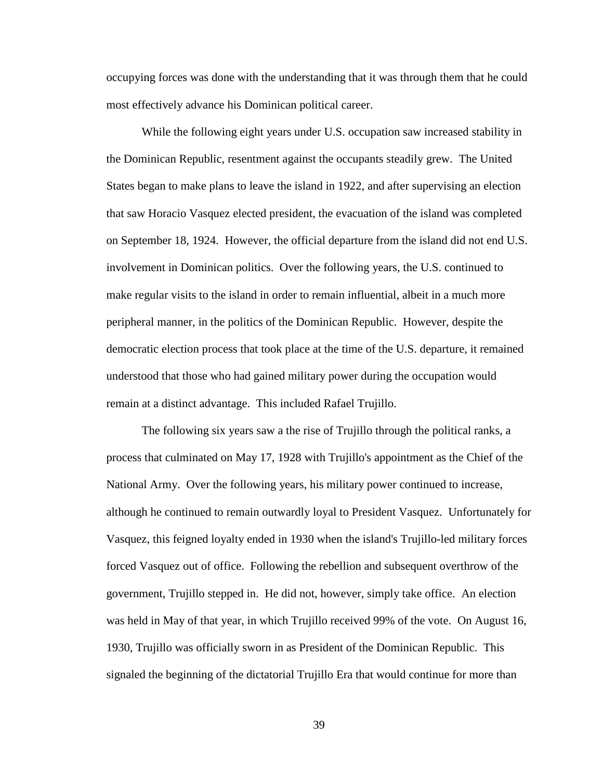occupying forces was done with the understanding that it was through them that he could most effectively advance his Dominican political career.

 While the following eight years under U.S. occupation saw increased stability in the Dominican Republic, resentment against the occupants steadily grew. The United States began to make plans to leave the island in 1922, and after supervising an election that saw Horacio Vasquez elected president, the evacuation of the island was completed on September 18, 1924. However, the official departure from the island did not end U.S. involvement in Dominican politics. Over the following years, the U.S. continued to make regular visits to the island in order to remain influential, albeit in a much more peripheral manner, in the politics of the Dominican Republic. However, despite the democratic election process that took place at the time of the U.S. departure, it remained understood that those who had gained military power during the occupation would remain at a distinct advantage. This included Rafael Trujillo.

 The following six years saw a the rise of Trujillo through the political ranks, a process that culminated on May 17, 1928 with Trujillo's appointment as the Chief of the National Army. Over the following years, his military power continued to increase, although he continued to remain outwardly loyal to President Vasquez. Unfortunately for Vasquez, this feigned loyalty ended in 1930 when the island's Trujillo-led military forces forced Vasquez out of office. Following the rebellion and subsequent overthrow of the government, Trujillo stepped in. He did not, however, simply take office. An election was held in May of that year, in which Trujillo received 99% of the vote. On August 16, 1930, Trujillo was officially sworn in as President of the Dominican Republic. This signaled the beginning of the dictatorial Trujillo Era that would continue for more than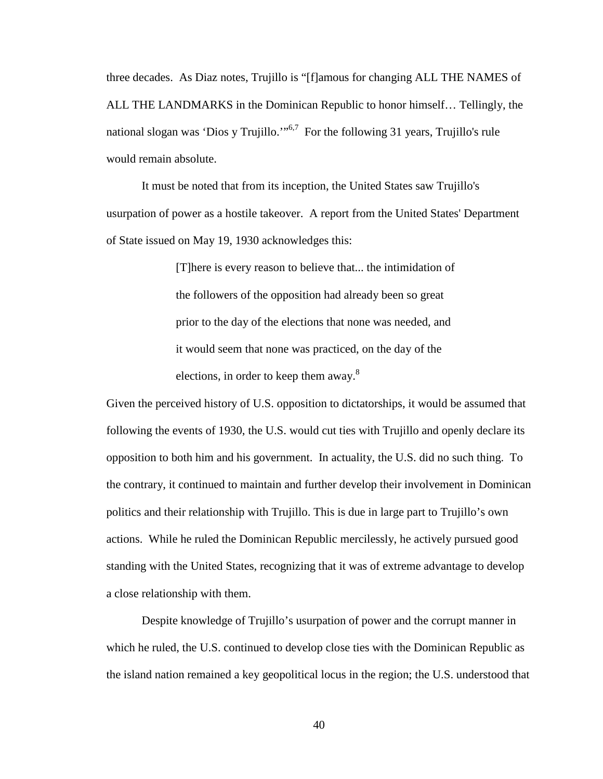three decades. As Diaz notes, Trujillo is "[f]amous for changing ALL THE NAMES of ALL THE LANDMARKS in the Dominican Republic to honor himself… Tellingly, the national slogan was 'Dios y Trujillo.'"<sup>6,7</sup> For the following 31 years, Trujillo's rule would remain absolute.

 It must be noted that from its inception, the United States saw Trujillo's usurpation of power as a hostile takeover. A report from the United States' Department of State issued on May 19, 1930 acknowledges this:

> [T]here is every reason to believe that... the intimidation of the followers of the opposition had already been so great prior to the day of the elections that none was needed, and it would seem that none was practiced, on the day of the elections, in order to keep them away.<sup>8</sup>

Given the perceived history of U.S. opposition to dictatorships, it would be assumed that following the events of 1930, the U.S. would cut ties with Trujillo and openly declare its opposition to both him and his government. In actuality, the U.S. did no such thing. To the contrary, it continued to maintain and further develop their involvement in Dominican politics and their relationship with Trujillo. This is due in large part to Trujillo's own actions. While he ruled the Dominican Republic mercilessly, he actively pursued good standing with the United States, recognizing that it was of extreme advantage to develop a close relationship with them.

Despite knowledge of Trujillo's usurpation of power and the corrupt manner in which he ruled, the U.S. continued to develop close ties with the Dominican Republic as the island nation remained a key geopolitical locus in the region; the U.S. understood that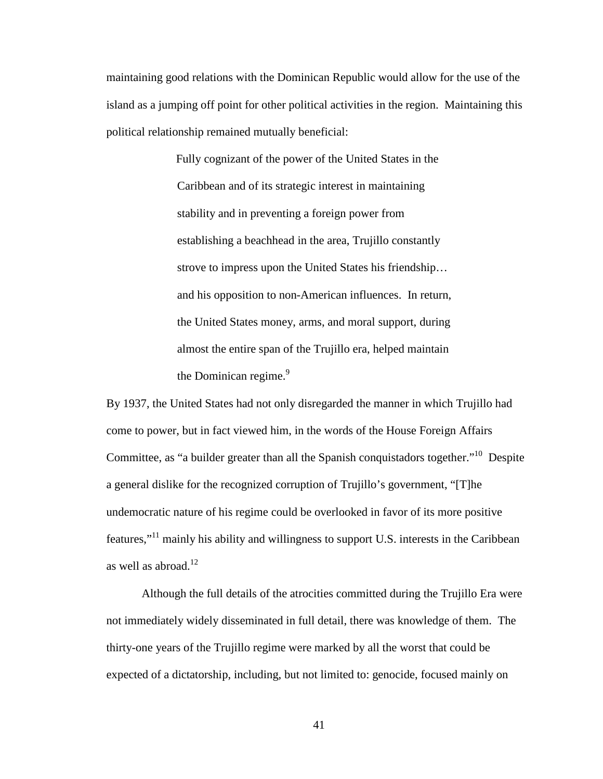maintaining good relations with the Dominican Republic would allow for the use of the island as a jumping off point for other political activities in the region. Maintaining this political relationship remained mutually beneficial:

> Fully cognizant of the power of the United States in the Caribbean and of its strategic interest in maintaining stability and in preventing a foreign power from establishing a beachhead in the area, Trujillo constantly strove to impress upon the United States his friendship… and his opposition to non-American influences. In return, the United States money, arms, and moral support, during almost the entire span of the Trujillo era, helped maintain the Dominican regime.<sup>9</sup>

By 1937, the United States had not only disregarded the manner in which Trujillo had come to power, but in fact viewed him, in the words of the House Foreign Affairs Committee, as "a builder greater than all the Spanish conquistadors together."<sup>10</sup> Despite a general dislike for the recognized corruption of Trujillo's government, "[T]he undemocratic nature of his regime could be overlooked in favor of its more positive features,"<sup>11</sup> mainly his ability and willingness to support U.S. interests in the Caribbean as well as abroad. $12$ 

 Although the full details of the atrocities committed during the Trujillo Era were not immediately widely disseminated in full detail, there was knowledge of them. The thirty-one years of the Trujillo regime were marked by all the worst that could be expected of a dictatorship, including, but not limited to: genocide, focused mainly on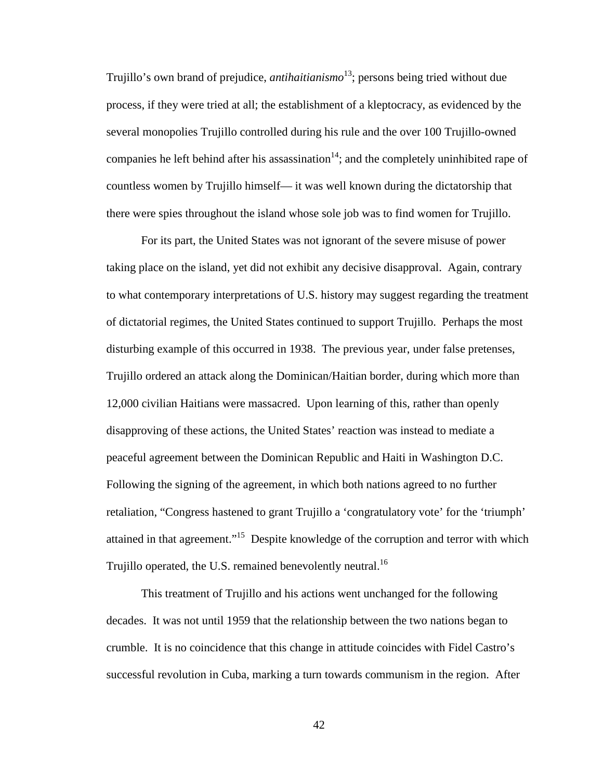Trujillo's own brand of prejudice, *antihaitianismo*<sup>13</sup>; persons being tried without due process, if they were tried at all; the establishment of a kleptocracy, as evidenced by the several monopolies Trujillo controlled during his rule and the over 100 Trujillo-owned companies he left behind after his assassination<sup>14</sup>; and the completely uninhibited rape of countless women by Trujillo himself— it was well known during the dictatorship that there were spies throughout the island whose sole job was to find women for Trujillo.

For its part, the United States was not ignorant of the severe misuse of power taking place on the island, yet did not exhibit any decisive disapproval. Again, contrary to what contemporary interpretations of U.S. history may suggest regarding the treatment of dictatorial regimes, the United States continued to support Trujillo. Perhaps the most disturbing example of this occurred in 1938. The previous year, under false pretenses, Trujillo ordered an attack along the Dominican/Haitian border, during which more than 12,000 civilian Haitians were massacred. Upon learning of this, rather than openly disapproving of these actions, the United States' reaction was instead to mediate a peaceful agreement between the Dominican Republic and Haiti in Washington D.C. Following the signing of the agreement, in which both nations agreed to no further retaliation, "Congress hastened to grant Trujillo a 'congratulatory vote' for the 'triumph' attained in that agreement."<sup>15</sup> Despite knowledge of the corruption and terror with which Trujillo operated, the U.S. remained benevolently neutral.<sup>16</sup>

This treatment of Trujillo and his actions went unchanged for the following decades. It was not until 1959 that the relationship between the two nations began to crumble. It is no coincidence that this change in attitude coincides with Fidel Castro's successful revolution in Cuba, marking a turn towards communism in the region. After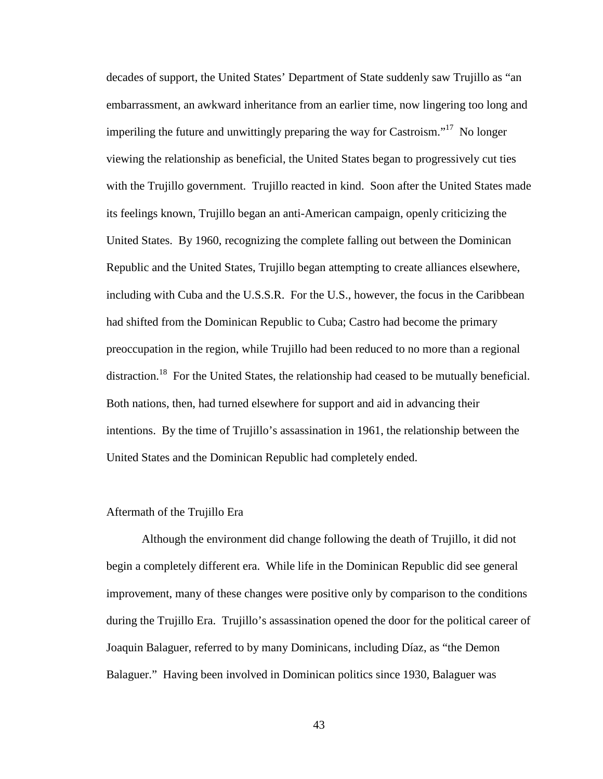decades of support, the United States' Department of State suddenly saw Trujillo as "an embarrassment, an awkward inheritance from an earlier time, now lingering too long and imperiling the future and unwittingly preparing the way for Castroism.<sup> $17$ </sup> No longer viewing the relationship as beneficial, the United States began to progressively cut ties with the Trujillo government. Trujillo reacted in kind. Soon after the United States made its feelings known, Trujillo began an anti-American campaign, openly criticizing the United States. By 1960, recognizing the complete falling out between the Dominican Republic and the United States, Trujillo began attempting to create alliances elsewhere, including with Cuba and the U.S.S.R. For the U.S., however, the focus in the Caribbean had shifted from the Dominican Republic to Cuba; Castro had become the primary preoccupation in the region, while Trujillo had been reduced to no more than a regional distraction.<sup>18</sup> For the United States, the relationship had ceased to be mutually beneficial. Both nations, then, had turned elsewhere for support and aid in advancing their intentions. By the time of Trujillo's assassination in 1961, the relationship between the United States and the Dominican Republic had completely ended.

#### Aftermath of the Trujillo Era

Although the environment did change following the death of Trujillo, it did not begin a completely different era. While life in the Dominican Republic did see general improvement, many of these changes were positive only by comparison to the conditions during the Trujillo Era. Trujillo's assassination opened the door for the political career of Joaquin Balaguer, referred to by many Dominicans, including Díaz, as "the Demon Balaguer." Having been involved in Dominican politics since 1930, Balaguer was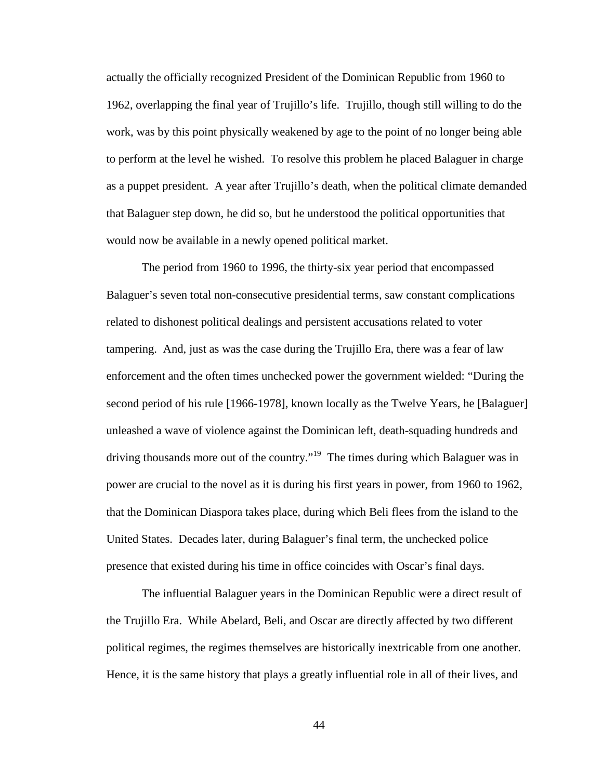actually the officially recognized President of the Dominican Republic from 1960 to 1962, overlapping the final year of Trujillo's life. Trujillo, though still willing to do the work, was by this point physically weakened by age to the point of no longer being able to perform at the level he wished. To resolve this problem he placed Balaguer in charge as a puppet president. A year after Trujillo's death, when the political climate demanded that Balaguer step down, he did so, but he understood the political opportunities that would now be available in a newly opened political market.

The period from 1960 to 1996, the thirty-six year period that encompassed Balaguer's seven total non-consecutive presidential terms, saw constant complications related to dishonest political dealings and persistent accusations related to voter tampering. And, just as was the case during the Trujillo Era, there was a fear of law enforcement and the often times unchecked power the government wielded: "During the second period of his rule [1966-1978], known locally as the Twelve Years, he [Balaguer] unleashed a wave of violence against the Dominican left, death-squading hundreds and driving thousands more out of the country."<sup>19</sup> The times during which Balaguer was in power are crucial to the novel as it is during his first years in power, from 1960 to 1962, that the Dominican Diaspora takes place, during which Beli flees from the island to the United States. Decades later, during Balaguer's final term, the unchecked police presence that existed during his time in office coincides with Oscar's final days.

 The influential Balaguer years in the Dominican Republic were a direct result of the Trujillo Era. While Abelard, Beli, and Oscar are directly affected by two different political regimes, the regimes themselves are historically inextricable from one another. Hence, it is the same history that plays a greatly influential role in all of their lives, and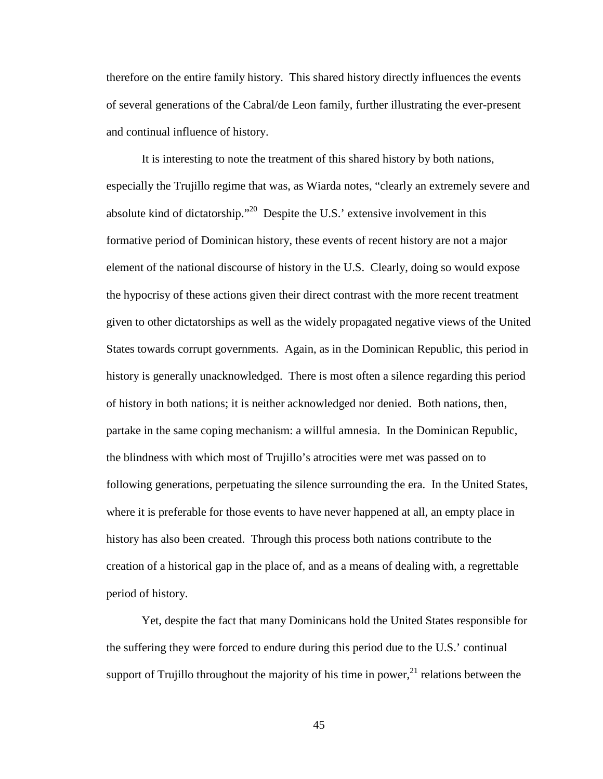therefore on the entire family history. This shared history directly influences the events of several generations of the Cabral/de Leon family, further illustrating the ever-present and continual influence of history.

 It is interesting to note the treatment of this shared history by both nations, especially the Trujillo regime that was, as Wiarda notes, "clearly an extremely severe and absolute kind of dictatorship."<sup>20</sup> Despite the U.S.' extensive involvement in this formative period of Dominican history, these events of recent history are not a major element of the national discourse of history in the U.S. Clearly, doing so would expose the hypocrisy of these actions given their direct contrast with the more recent treatment given to other dictatorships as well as the widely propagated negative views of the United States towards corrupt governments. Again, as in the Dominican Republic, this period in history is generally unacknowledged. There is most often a silence regarding this period of history in both nations; it is neither acknowledged nor denied. Both nations, then, partake in the same coping mechanism: a willful amnesia. In the Dominican Republic, the blindness with which most of Trujillo's atrocities were met was passed on to following generations, perpetuating the silence surrounding the era. In the United States, where it is preferable for those events to have never happened at all, an empty place in history has also been created. Through this process both nations contribute to the creation of a historical gap in the place of, and as a means of dealing with, a regrettable period of history.

Yet, despite the fact that many Dominicans hold the United States responsible for the suffering they were forced to endure during this period due to the U.S.' continual support of Trujillo throughout the majority of his time in power,  $2<sup>1</sup>$  relations between the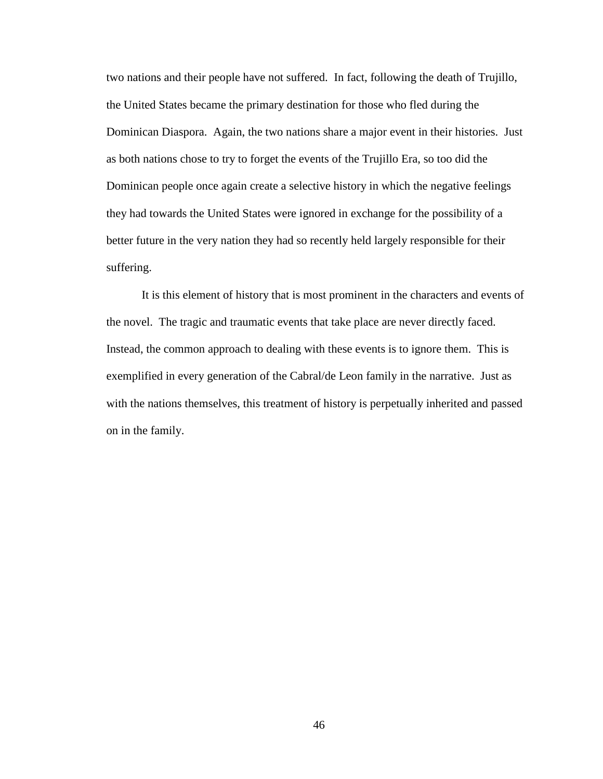two nations and their people have not suffered. In fact, following the death of Trujillo, the United States became the primary destination for those who fled during the Dominican Diaspora. Again, the two nations share a major event in their histories. Just as both nations chose to try to forget the events of the Trujillo Era, so too did the Dominican people once again create a selective history in which the negative feelings they had towards the United States were ignored in exchange for the possibility of a better future in the very nation they had so recently held largely responsible for their suffering.

 It is this element of history that is most prominent in the characters and events of the novel. The tragic and traumatic events that take place are never directly faced. Instead, the common approach to dealing with these events is to ignore them. This is exemplified in every generation of the Cabral/de Leon family in the narrative. Just as with the nations themselves, this treatment of history is perpetually inherited and passed on in the family.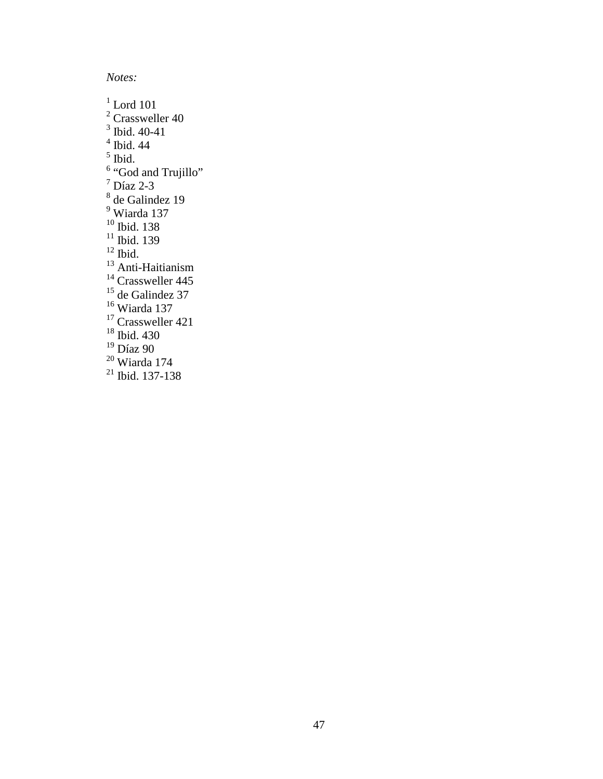*Notes:*

 $1$  Lord 101  $^2$  Crassweller 40<br> $^3$  Ibid. 40-41 4 Ibid. 44 <sup>5</sup> Ibid.<br>  $\frac{1}{6}$  "God and Trujillo"<br>  $\frac{1}{6}$  Díaz 2-3<br>  $\frac{1}{6}$  de Galindez 19<br>  $\frac{1}{2}$  Wierde 127 Wiarda 137  $10$  Ibid. 138  $11$  Ibid. 139  $12$  Ibid. <sup>13</sup> Anti-Haitianism <sup>14</sup> Crassweller 445 <sup>15</sup> de Galindez 37 <sup>16</sup> Wiarda 137 <sup>17</sup> Crassweller 421 <sup>18</sup> Ibid. 430  $19$  Díaz 90  $20$  Wiarda 174  $21$  Ibid. 137-138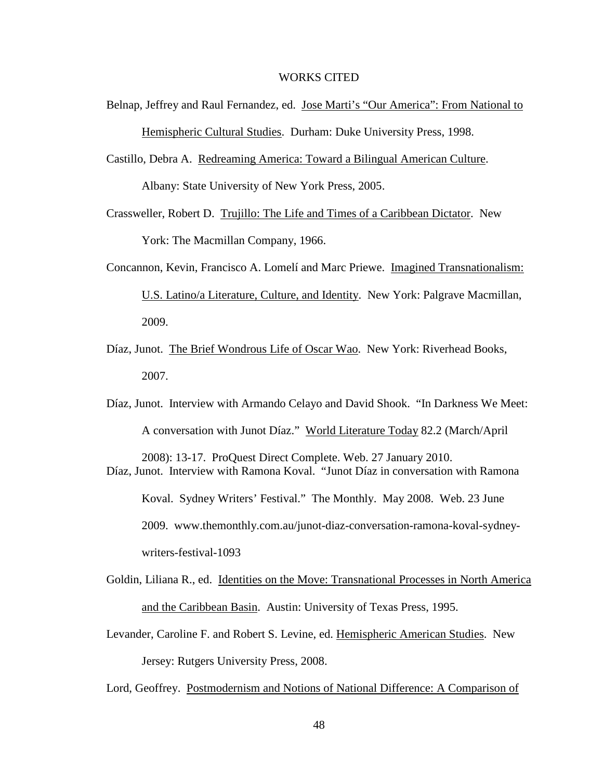#### WORKS CITED

- Belnap, Jeffrey and Raul Fernandez, ed. Jose Marti's "Our America": From National to Hemispheric Cultural Studies. Durham: Duke University Press, 1998.
- Castillo, Debra A. Redreaming America: Toward a Bilingual American Culture. Albany: State University of New York Press, 2005.
- Crassweller, Robert D. Trujillo: The Life and Times of a Caribbean Dictator. New York: The Macmillan Company, 1966.
- Concannon, Kevin, Francisco A. Lomelí and Marc Priewe. Imagined Transnationalism: U.S. Latino/a Literature, Culture, and Identity. New York: Palgrave Macmillan, 2009.
- Díaz, Junot. The Brief Wondrous Life of Oscar Wao. New York: Riverhead Books, 2007.
- Díaz, Junot. Interview with Armando Celayo and David Shook. "In Darkness We Meet: A conversation with Junot Díaz." World Literature Today 82.2 (March/April
- 2008): 13-17. ProQuest Direct Complete. Web. 27 January 2010. Díaz, Junot. Interview with Ramona Koval. "Junot Díaz in conversation with Ramona Koval. Sydney Writers' Festival." The Monthly. May 2008. Web. 23 June 2009. www.themonthly.com.au/junot-diaz-conversation-ramona-koval-sydney writers-festival-1093
- Goldin, Liliana R., ed. Identities on the Move: Transnational Processes in North America and the Caribbean Basin. Austin: University of Texas Press, 1995.
- Levander, Caroline F. and Robert S. Levine, ed. Hemispheric American Studies. New Jersey: Rutgers University Press, 2008.
- Lord, Geoffrey. Postmodernism and Notions of National Difference: A Comparison of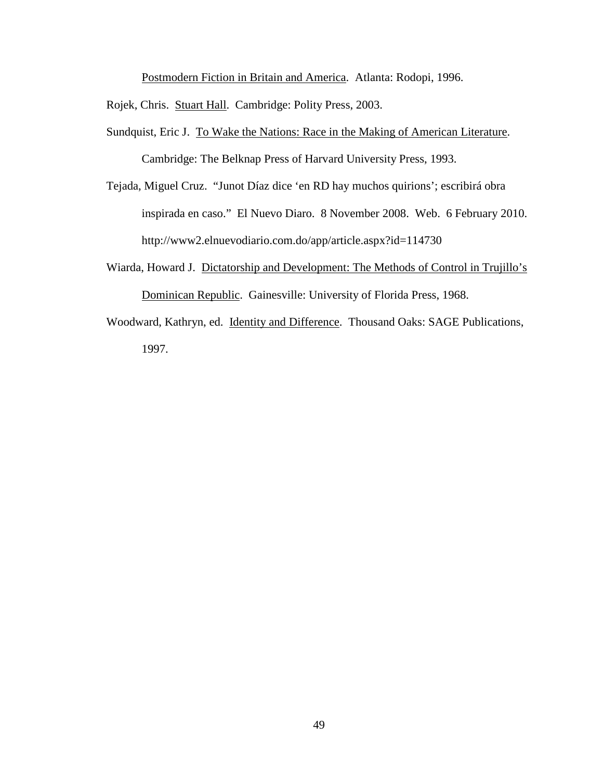Postmodern Fiction in Britain and America. Atlanta: Rodopi, 1996.

Rojek, Chris. Stuart Hall. Cambridge: Polity Press, 2003.

- Sundquist, Eric J. To Wake the Nations: Race in the Making of American Literature. Cambridge: The Belknap Press of Harvard University Press, 1993.
- Tejada, Miguel Cruz. "Junot Díaz dice 'en RD hay muchos quirions'; escribirá obra inspirada en caso." El Nuevo Diaro. 8 November 2008. Web. 6 February 2010. http://www2.elnuevodiario.com.do/app/article.aspx?id=114730
- Wiarda, Howard J. Dictatorship and Development: The Methods of Control in Trujillo's Dominican Republic. Gainesville: University of Florida Press, 1968.
- Woodward, Kathryn, ed. Identity and Difference. Thousand Oaks: SAGE Publications, 1997.